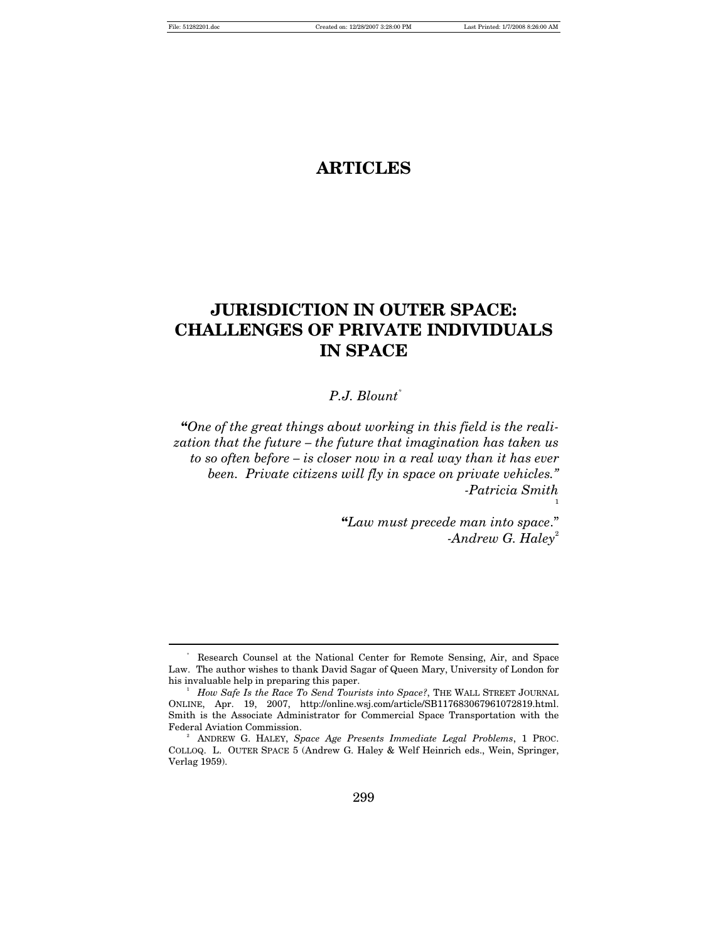$\overline{a}$ 

# **ARTICLES**

# **JURISDICTION IN OUTER SPACE: CHALLENGES OF PRIVATE INDIVIDUALS IN SPACE**

# *P.J. Blount\**

**"***One of the great things about working in this field is the realization that the future – the future that imagination has taken us to so often before – is closer now in a real way than it has ever been. Private citizens will fly in space on private vehicles." -Patricia Smith* 

> **"***Law must precede man into space*." *-Andrew G. Haley*<sup>2</sup>

1

<sup>\*</sup> Research Counsel at the National Center for Remote Sensing, Air, and Space Law. The author wishes to thank David Sagar of Queen Mary, University of London for his invaluable help in preparing this paper. 1

<sup>&</sup>lt;sup>1</sup> How Safe Is the Race To Send Tourists into Space?, THE WALL STREET JOURNAL ONLINE, Apr. 19, 2007, http://online.wsj.com/article/SB117683067961072819.html. Smith is the Associate Administrator for Commercial Space Transportation with the Federal Aviation Commission. 2

ANDREW G. HALEY, *Space Age Presents Immediate Legal Problems*, 1 PROC. COLLOQ. L. OUTER SPACE 5 (Andrew G. Haley & Welf Heinrich eds., Wein, Springer, Verlag 1959).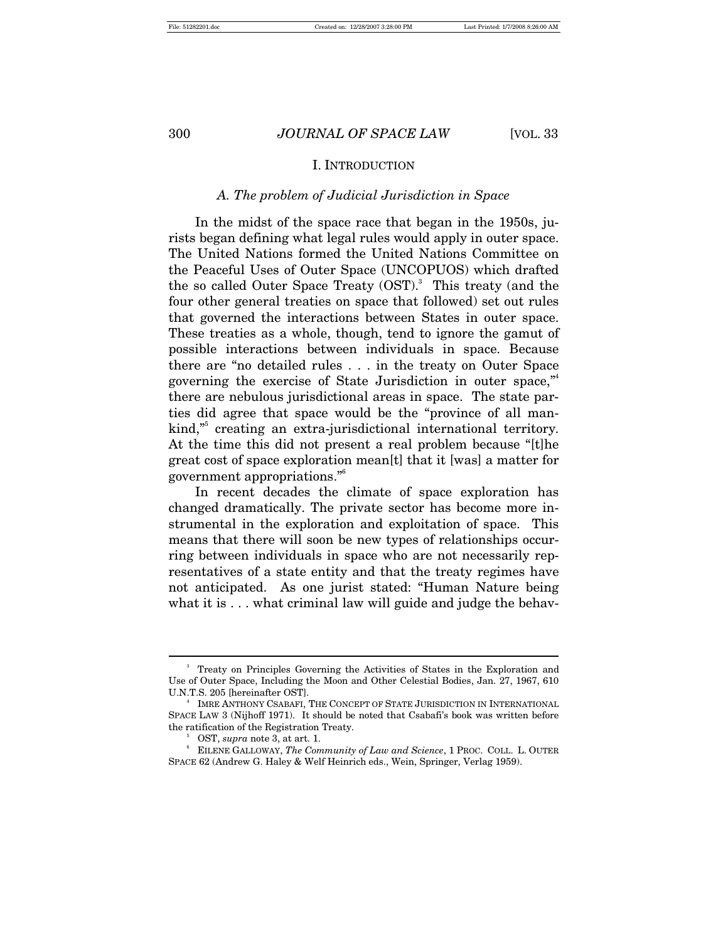#### I. INTRODUCTION

#### *A. The problem of Judicial Jurisdiction in Space*

In the midst of the space race that began in the 1950s, jurists began defining what legal rules would apply in outer space. The United Nations formed the United Nations Committee on the Peaceful Uses of Outer Space (UNCOPUOS) which drafted the so called Outer Space Treaty  $(OST)^3$  This treaty (and the four other general treaties on space that followed) set out rules that governed the interactions between States in outer space. These treaties as a whole, though, tend to ignore the gamut of possible interactions between individuals in space. Because there are "no detailed rules . . . in the treaty on Outer Space governing the exercise of State Jurisdiction in outer space,"4 there are nebulous jurisdictional areas in space. The state parties did agree that space would be the "province of all mankind,<sup>35</sup> creating an extra-jurisdictional international territory. At the time this did not present a real problem because "[t]he great cost of space exploration mean[t] that it [was] a matter for government appropriations."6

In recent decades the climate of space exploration has changed dramatically. The private sector has become more instrumental in the exploration and exploitation of space. This means that there will soon be new types of relationships occurring between individuals in space who are not necessarily representatives of a state entity and that the treaty regimes have not anticipated. As one jurist stated: "Human Nature being what it is ... what criminal law will guide and judge the behav-

<sup>3</sup> Treaty on Principles Governing the Activities of States in the Exploration and Use of Outer Space, Including the Moon and Other Celestial Bodies, Jan. 27, 1967, 610 U.N.T.S. 205 [hereinafter OST]. 4

<sup>&</sup>lt;sup>4</sup> IMRE ANTHONY CSABAFI, THE CONCEPT OF STATE JURISDICTION IN INTERNATIONAL SPACE LAW 3 (Nijhoff 1971). It should be noted that Csabafi's book was written before the ratification of the Registration Treaty.

OST, *supra* note 3, at art. 1. 6

EILENE GALLOWAY, *The Community of Law and Science*, 1 PROC. COLL. L. OUTER SPACE 62 (Andrew G. Haley & Welf Heinrich eds., Wein, Springer, Verlag 1959).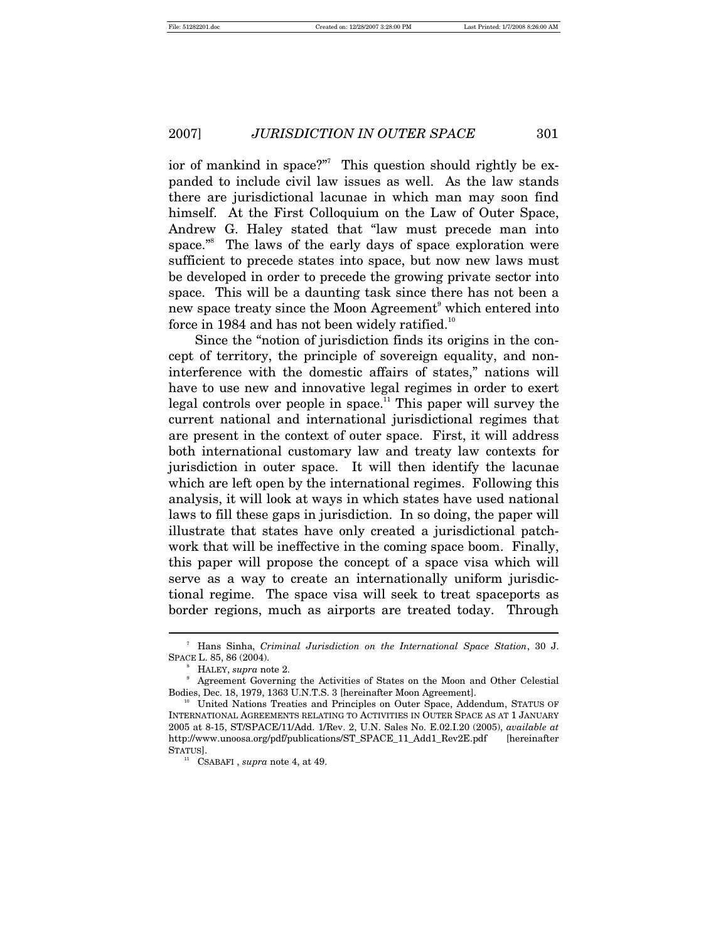ior of mankind in space?"<sup>7</sup> This question should rightly be expanded to include civil law issues as well. As the law stands there are jurisdictional lacunae in which man may soon find himself. At the First Colloquium on the Law of Outer Space, Andrew G. Haley stated that "law must precede man into space."<sup>8</sup> The laws of the early days of space exploration were sufficient to precede states into space, but now new laws must be developed in order to precede the growing private sector into space. This will be a daunting task since there has not been a new space treaty since the Moon Agreement<sup>9</sup> which entered into force in 1984 and has not been widely ratified.<sup>10</sup>

Since the "notion of jurisdiction finds its origins in the concept of territory, the principle of sovereign equality, and noninterference with the domestic affairs of states," nations will have to use new and innovative legal regimes in order to exert legal controls over people in space.<sup>11</sup> This paper will survey the current national and international jurisdictional regimes that are present in the context of outer space. First, it will address both international customary law and treaty law contexts for jurisdiction in outer space. It will then identify the lacunae which are left open by the international regimes. Following this analysis, it will look at ways in which states have used national laws to fill these gaps in jurisdiction. In so doing, the paper will illustrate that states have only created a jurisdictional patchwork that will be ineffective in the coming space boom. Finally, this paper will propose the concept of a space visa which will serve as a way to create an internationally uniform jurisdictional regime. The space visa will seek to treat spaceports as border regions, much as airports are treated today. Through

<sup>7</sup> Hans Sinha, *Criminal Jurisdiction on the International Space Station*, 30 J. SPACE L. 85, 86 (2004).<br>
<sup>8</sup> HALEY, *supra* note 2.

<sup>&</sup>lt;sup>8</sup> HALEY, *supra* note 2.<br><sup>9</sup> Agreement Governing the Activities of States on the Moon and Other Celestial Bodies, Dec. 18, 1979, 1363 U.N.T.S. 3 [hereinafter Moon Agreement].<br><sup>10</sup> United Nations Treaties and Principles on Outer Space, Addendum, STATUS OF

INTERNATIONAL AGREEMENTS RELATING TO ACTIVITIES IN OUTER SPACE AS AT 1 JANUARY 2005 at 8-15, ST/SPACE/11/Add. 1/Rev. 2, U.N. Sales No. E.02.I.20 (2005), *available at* http://www.unoosa.org/pdf/publications/ST\_SPACE\_11\_Add1\_Rev2E.pdf [hereinafter STATUS].<br><sup>11</sup> CSABAFI , *supra* note 4, at 49.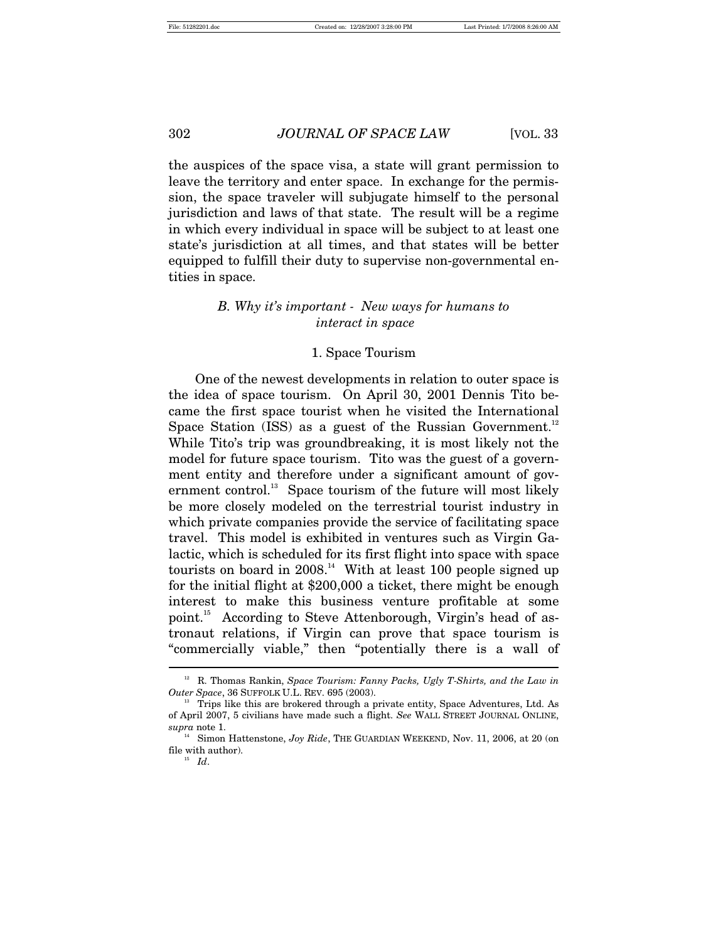the auspices of the space visa, a state will grant permission to leave the territory and enter space. In exchange for the permission, the space traveler will subjugate himself to the personal jurisdiction and laws of that state. The result will be a regime in which every individual in space will be subject to at least one state's jurisdiction at all times, and that states will be better equipped to fulfill their duty to supervise non-governmental entities in space.

# *B. Why it's important - New ways for humans to interact in space*

#### 1. Space Tourism

One of the newest developments in relation to outer space is the idea of space tourism. On April 30, 2001 Dennis Tito became the first space tourist when he visited the International Space Station (ISS) as a guest of the Russian Government.<sup>12</sup> While Tito's trip was groundbreaking, it is most likely not the model for future space tourism. Tito was the guest of a government entity and therefore under a significant amount of government control.<sup>13</sup> Space tourism of the future will most likely be more closely modeled on the terrestrial tourist industry in which private companies provide the service of facilitating space travel. This model is exhibited in ventures such as Virgin Galactic, which is scheduled for its first flight into space with space tourists on board in  $2008<sup>14</sup>$  With at least 100 people signed up for the initial flight at \$200,000 a ticket, there might be enough interest to make this business venture profitable at some point.15 According to Steve Attenborough, Virgin's head of astronaut relations, if Virgin can prove that space tourism is "commercially viable," then "potentially there is a wall of  $\overline{a}$ 

<sup>&</sup>lt;sup>12</sup> R. Thomas Rankin, *Space Tourism: Fanny Packs, Ugly T-Shirts, and the Law in Outer Space*, 36 SUFFOLK U.L. REV. 695 (2003).<br><sup>13</sup> Trips like this are brokered through a private entity, Space Adventures, Ltd. As

of April 2007, 5 civilians have made such a flight. *See* WALL STREET JOURNAL ONLINE,

 $^{14}$  Simon Hattenstone, *Joy Ride*, THE GUARDIAN WEEKEND, Nov. 11, 2006, at 20 (on  $^{14}$ file with author).  $I\!d.$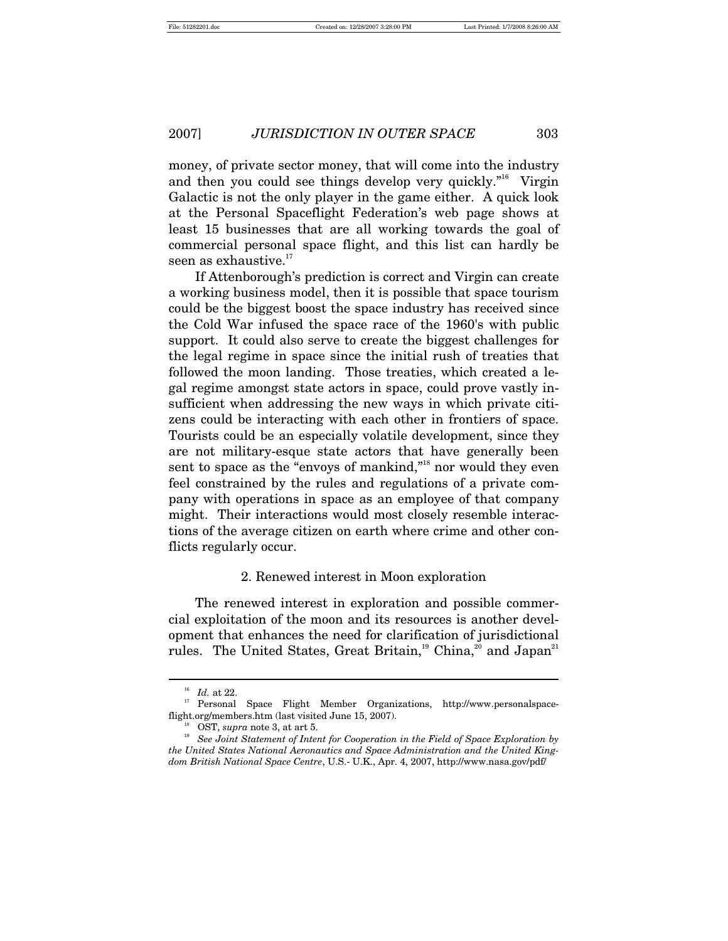money, of private sector money, that will come into the industry and then you could see things develop very quickly."16 Virgin Galactic is not the only player in the game either. A quick look at the Personal Spaceflight Federation's web page shows at least 15 businesses that are all working towards the goal of commercial personal space flight, and this list can hardly be seen as exhaustive.<sup>17</sup>

If Attenborough's prediction is correct and Virgin can create a working business model, then it is possible that space tourism could be the biggest boost the space industry has received since the Cold War infused the space race of the 1960's with public support. It could also serve to create the biggest challenges for the legal regime in space since the initial rush of treaties that followed the moon landing. Those treaties, which created a legal regime amongst state actors in space, could prove vastly insufficient when addressing the new ways in which private citizens could be interacting with each other in frontiers of space. Tourists could be an especially volatile development, since they are not military-esque state actors that have generally been sent to space as the "envoys of mankind,"<sup>18</sup> nor would they even feel constrained by the rules and regulations of a private company with operations in space as an employee of that company might. Their interactions would most closely resemble interactions of the average citizen on earth where crime and other conflicts regularly occur.

#### 2. Renewed interest in Moon exploration

The renewed interest in exploration and possible commercial exploitation of the moon and its resources is another development that enhances the need for clarification of jurisdictional rules. The United States, Great Britain,<sup>19</sup> China,<sup>20</sup> and Japan<sup>21</sup>

 $16$   $^{16}$   $\,$   $Z$   $^{16}$   $\,$   $Z$   $^{16}$   $\,$   $Z$   $^{16}$   $\,$   $Z$   $^{16}$   $Z$   $^{16}$   $Z$   $^{16}$   $Z$   $^{16}$   $Z$   $^{16}$   $Z$   $^{16}$   $Z$   $^{16}$   $Z$   $^{16}$   $Z$   $^{16}$   $Z$   $^{16}$   $Z$   $^{16}$   $Z$   $^{16}$   $Z$   $^{16}$   $Z$   $^{16}$   $Z$ 

flight.org/members.htm (last visited June 15, 2007).<br><sup>18</sup> OST, *supra* note 3, at art 5.<br><sup>19</sup> *See Joint Statement of Intent for Cooperation in the Field of Space Exploration by the United States National Aeronautics and Space Administration and the United Kingdom British National Space Centre*, U.S.- U.K., Apr. 4, 2007, http://www.nasa.gov/pdf/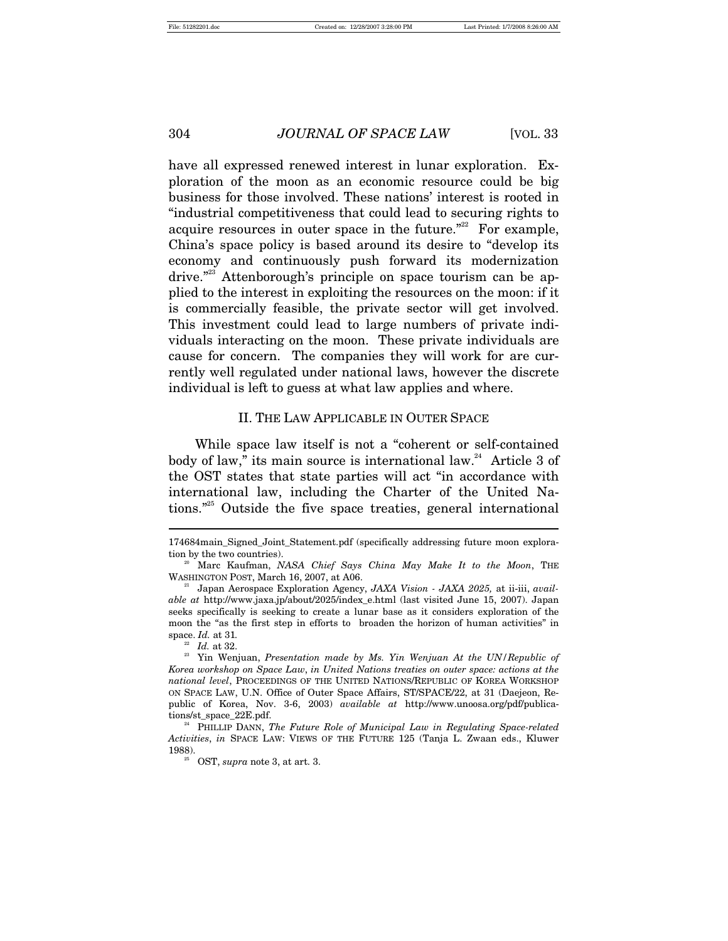have all expressed renewed interest in lunar exploration. Exploration of the moon as an economic resource could be big business for those involved. These nations' interest is rooted in "industrial competitiveness that could lead to securing rights to acquire resources in outer space in the future. $22$  For example, China's space policy is based around its desire to "develop its economy and continuously push forward its modernization drive."<sup>23</sup> Attenborough's principle on space tourism can be applied to the interest in exploiting the resources on the moon: if it is commercially feasible, the private sector will get involved. This investment could lead to large numbers of private individuals interacting on the moon. These private individuals are cause for concern. The companies they will work for are currently well regulated under national laws, however the discrete individual is left to guess at what law applies and where.

# II. THE LAW APPLICABLE IN OUTER SPACE

While space law itself is not a "coherent or self-contained body of law," its main source is international law.<sup>24</sup> Article 3 of the OST states that state parties will act "in accordance with international law, including the Charter of the United Nations."25 Outside the five space treaties, general international

<sup>174684</sup>main\_Signed\_Joint\_Statement.pdf (specifically addressing future moon exploration by the two countries). 20 Marc Kaufman, *NASA Chief Says China May Make It to the Moon*, THE

WASHINGTON POST, March 16, 2007, at A06.<br><sup>21</sup> Japan Aerospace Exploration Agency, *JAXA Vision - JAXA 2025*, at ii-iii, *avail-*

*able at* http://www.jaxa.jp/about/2025/index\_e.html (last visited June 15, 2007). Japan seeks specifically is seeking to create a lunar base as it considers exploration of the moon the "as the first step in efforts to broaden the horizon of human activities" in space. *Id.* at 31*.*

<sup>&</sup>lt;sup>22</sup> *Id.* at 32.<br><sup>23</sup> Yin Wenjuan, *Presentation made by Ms. Yin Wenjuan At the UN/Republic of Korea workshop on Space Law*, *in United Nations treaties on outer space: actions at the national level*, PROCEEDINGS OF THE UNITED NATIONS/REPUBLIC OF KOREA WORKSHOP ON SPACE LAW, U.N. Office of Outer Space Affairs, ST/SPACE/22, at 31 (Daejeon, Republic of Korea, Nov. 3-6, 2003) *available at* http://www.unoosa.org/pdf/publications/st\_space\_22E.pdf. 24 PHILLIP DANN, *The Future Role of Municipal Law in Regulating Space-related* 

*Activities*, *in* SPACE LAW: VIEWS OF THE FUTURE 125 (Tanja L. Zwaan eds., Kluwer 1988). 25 OST, *supra* note 3, at art. 3.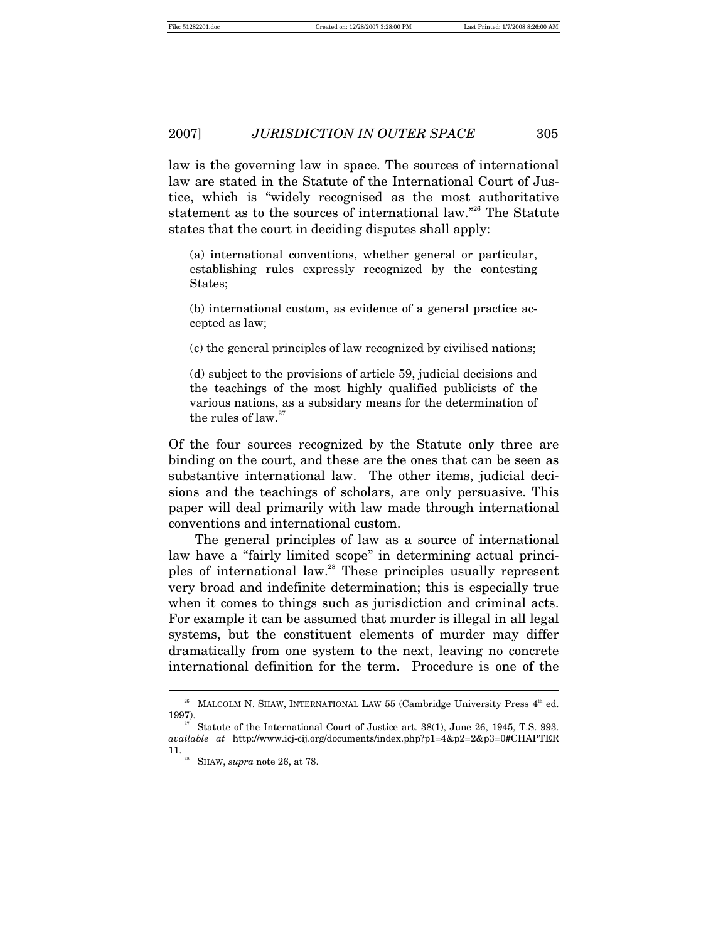law is the governing law in space. The sources of international law are stated in the Statute of the International Court of Justice, which is "widely recognised as the most authoritative statement as to the sources of international law."26 The Statute states that the court in deciding disputes shall apply:

(a) international conventions, whether general or particular, establishing rules expressly recognized by the contesting States;

(b) international custom, as evidence of a general practice accepted as law;

(c) the general principles of law recognized by civilised nations;

(d) subject to the provisions of article 59, judicial decisions and the teachings of the most highly qualified publicists of the various nations, as a subsidary means for the determination of the rules of law. $27$ 

Of the four sources recognized by the Statute only three are binding on the court, and these are the ones that can be seen as substantive international law. The other items, judicial decisions and the teachings of scholars, are only persuasive. This paper will deal primarily with law made through international conventions and international custom.

The general principles of law as a source of international law have a "fairly limited scope" in determining actual principles of international law.28 These principles usually represent very broad and indefinite determination; this is especially true when it comes to things such as jurisdiction and criminal acts. For example it can be assumed that murder is illegal in all legal systems, but the constituent elements of murder may differ dramatically from one system to the next, leaving no concrete international definition for the term. Procedure is one of the

<sup>&</sup>lt;sup>26</sup> MALCOLM N. SHAW, INTERNATIONAL LAW 55 (Cambridge University Press  $4<sup>th</sup>$  ed. 1997). 27 Statute of the International Court of Justice art. 38(1), June 26, 1945, T.S. 993.

*available at* http://www.icj-cij.org/documents/index.php?p1=4&p2=2&p3=0#CHAPTER 11. 28 SHAW, *supra* note 26, at 78.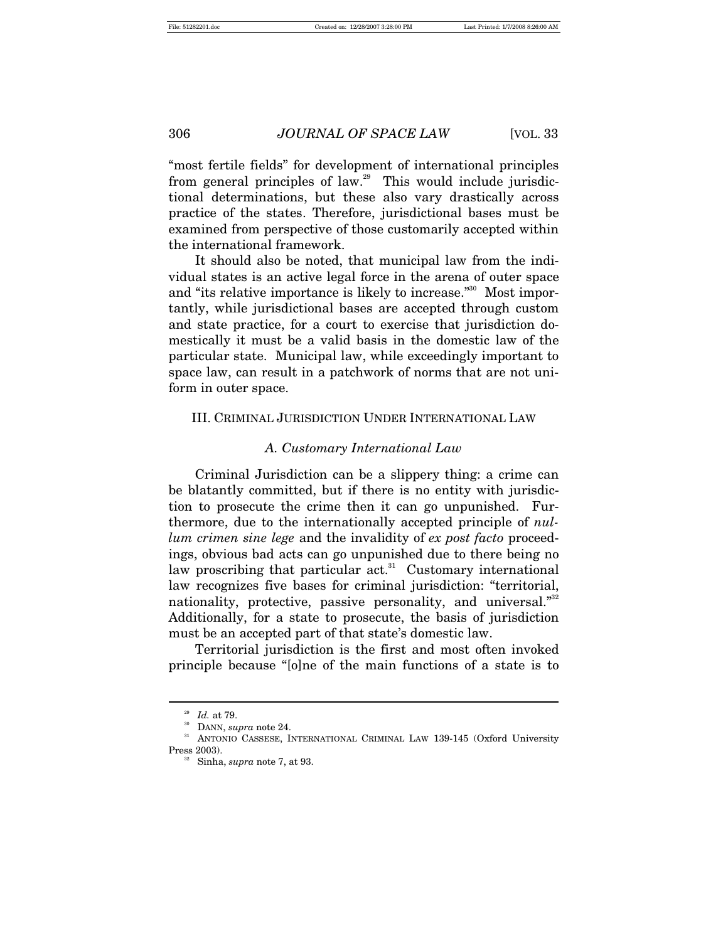"most fertile fields" for development of international principles from general principles of law.<sup>29</sup> This would include jurisdictional determinations, but these also vary drastically across practice of the states. Therefore, jurisdictional bases must be examined from perspective of those customarily accepted within the international framework.

It should also be noted, that municipal law from the individual states is an active legal force in the arena of outer space and "its relative importance is likely to increase."<sup>30</sup> Most importantly, while jurisdictional bases are accepted through custom and state practice, for a court to exercise that jurisdiction domestically it must be a valid basis in the domestic law of the particular state. Municipal law, while exceedingly important to space law, can result in a patchwork of norms that are not uniform in outer space.

#### III. CRIMINAL JURISDICTION UNDER INTERNATIONAL LAW

#### *A. Customary International Law*

Criminal Jurisdiction can be a slippery thing: a crime can be blatantly committed, but if there is no entity with jurisdiction to prosecute the crime then it can go unpunished. Furthermore, due to the internationally accepted principle of *nullum crimen sine lege* and the invalidity of *ex post facto* proceedings, obvious bad acts can go unpunished due to there being no law proscribing that particular act.<sup>31</sup> Customary international law recognizes five bases for criminal jurisdiction: "territorial, nationality, protective, passive personality, and universal."<sup>32</sup> Additionally, for a state to prosecute, the basis of jurisdiction must be an accepted part of that state's domestic law.

Territorial jurisdiction is the first and most often invoked principle because "[o]ne of the main functions of a state is to

<sup>&</sup>lt;sup>29</sup> Id. at 79.<br><sup>30</sup> DANN, *supra* note 24.<br><sup>31</sup> ANTONIO CASSESE, INTERNATIONAL CRIMINAL LAW 139-145 (Oxford University Press 2003). 32 Sinha, *supra* note 7, at 93.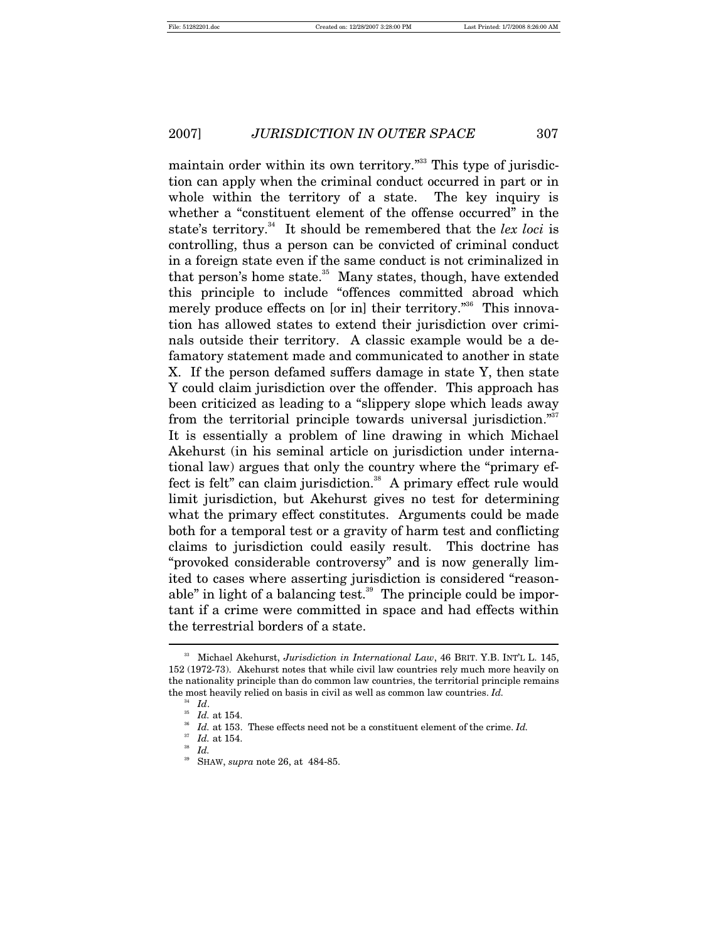maintain order within its own territory.<sup>"33</sup> This type of jurisdiction can apply when the criminal conduct occurred in part or in whole within the territory of a state. The key inquiry is whether a "constituent element of the offense occurred" in the state's territory.<sup>34</sup> It should be remembered that the *lex loci* is controlling, thus a person can be convicted of criminal conduct in a foreign state even if the same conduct is not criminalized in that person's home state.<sup>35</sup> Many states, though, have extended this principle to include "offences committed abroad which merely produce effects on [or in] their territory.<sup>356</sup> This innovation has allowed states to extend their jurisdiction over criminals outside their territory. A classic example would be a defamatory statement made and communicated to another in state X. If the person defamed suffers damage in state Y, then state Y could claim jurisdiction over the offender. This approach has been criticized as leading to a "slippery slope which leads away from the territorial principle towards universal jurisdiction."<sup>37</sup> It is essentially a problem of line drawing in which Michael Akehurst (in his seminal article on jurisdiction under international law) argues that only the country where the "primary effect is felt" can claim jurisdiction.<sup>38</sup> A primary effect rule would limit jurisdiction, but Akehurst gives no test for determining what the primary effect constitutes. Arguments could be made both for a temporal test or a gravity of harm test and conflicting claims to jurisdiction could easily result. This doctrine has "provoked considerable controversy" and is now generally limited to cases where asserting jurisdiction is considered "reasonable" in light of a balancing test. $39$  The principle could be important if a crime were committed in space and had effects within the terrestrial borders of a state.  $\overline{a}$ 

<sup>&</sup>lt;sup>33</sup> Michael Akehurst, *Jurisdiction in International Law*, 46 BRIT. Y.B. INT'L L. 145, 152 (1972-73). Akehurst notes that while civil law countries rely much more heavily on the nationality principle than do common law countries, the territorial principle remains the most heavily relied on basis in civil as well as common law countries. *Id.*  $\frac{34}{1}$  *Id.* 

<sup>34</sup> *Id*. 35 *Id.* at 154. 36 *Id.* at 153. These effects need not be a constituent element of the crime. *Id.*

<sup>37</sup> *Id.* at 154. 38 *Id.*

<sup>39</sup> SHAW, *supra* note 26, at 484-85.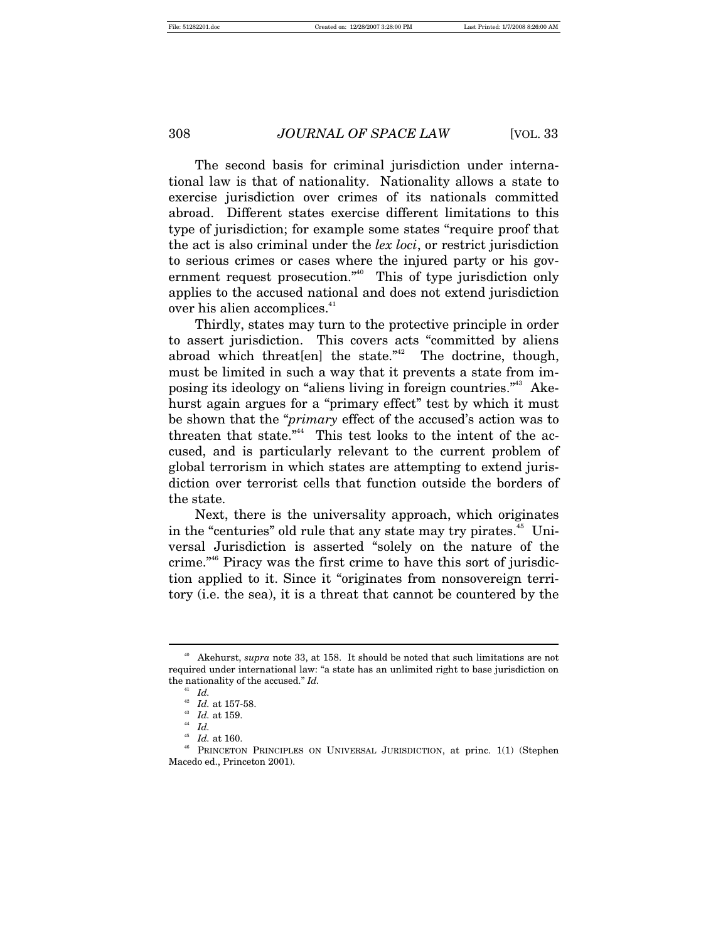The second basis for criminal jurisdiction under international law is that of nationality. Nationality allows a state to exercise jurisdiction over crimes of its nationals committed abroad. Different states exercise different limitations to this type of jurisdiction; for example some states "require proof that the act is also criminal under the *lex loci*, or restrict jurisdiction to serious crimes or cases where the injured party or his government request prosecution."<sup>40</sup> This of type jurisdiction only applies to the accused national and does not extend jurisdiction over his alien accomplices.<sup>41</sup>

Thirdly, states may turn to the protective principle in order to assert jurisdiction. This covers acts "committed by aliens abroad which threat [en] the state." $42$  The doctrine, though, must be limited in such a way that it prevents a state from imposing its ideology on "aliens living in foreign countries."43 Akehurst again argues for a "primary effect" test by which it must be shown that the "*primary* effect of the accused's action was to threaten that state."<sup>44</sup> This test looks to the intent of the accused, and is particularly relevant to the current problem of global terrorism in which states are attempting to extend jurisdiction over terrorist cells that function outside the borders of the state.

Next, there is the universality approach, which originates in the "centuries" old rule that any state may try pirates. $45$  Universal Jurisdiction is asserted "solely on the nature of the crime."46 Piracy was the first crime to have this sort of jurisdiction applied to it. Since it "originates from nonsovereign territory (i.e. the sea), it is a threat that cannot be countered by the

<sup>40</sup> Akehurst, *supra* note 33, at 158. It should be noted that such limitations are not required under international law: "a state has an unlimited right to base jurisdiction on the nationality of the accused." *Id.*

 $Id.$ 

<sup>&</sup>lt;sup>42</sup> *Id.* at 157-58.<br><sup>43</sup> *Id.* at 159.<br><sup>44</sup> *Id.* 

<sup>&</sup>lt;sup>45</sup> *Id.* at 160.<br><sup>46</sup> PRINCETON PRINCIPLES ON UNIVERSAL JURISDICTION, at princ. 1(1) (Stephen Macedo ed., Princeton 2001).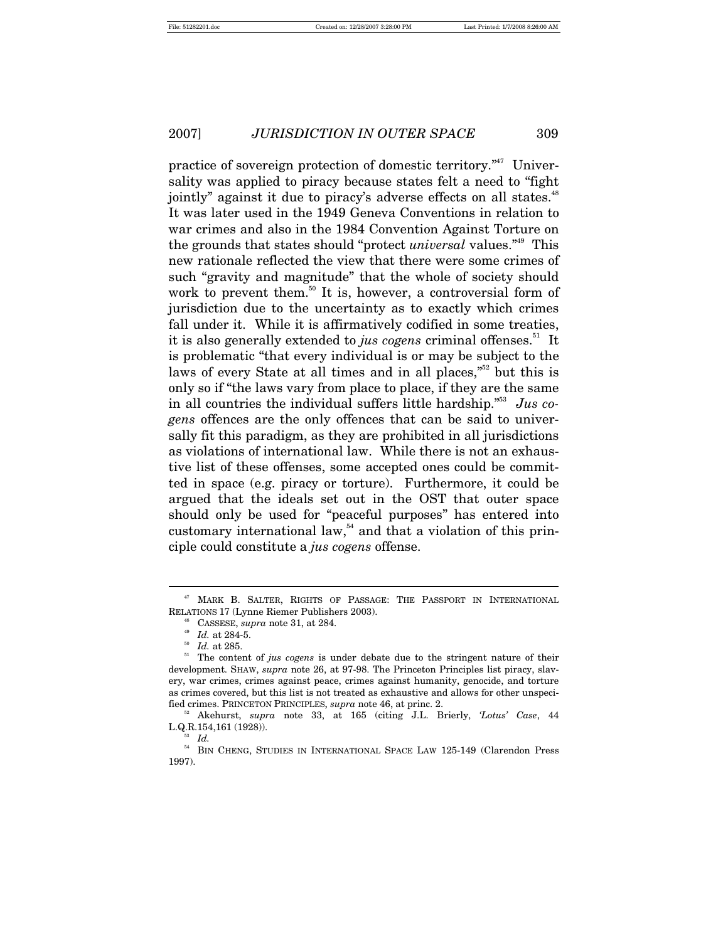practice of sovereign protection of domestic territory."47 Universality was applied to piracy because states felt a need to "fight jointly" against it due to piracy's adverse effects on all states.<sup>48</sup> It was later used in the 1949 Geneva Conventions in relation to war crimes and also in the 1984 Convention Against Torture on the grounds that states should "protect *universal* values."49 This new rationale reflected the view that there were some crimes of such "gravity and magnitude" that the whole of society should work to prevent them.<sup>50</sup> It is, however, a controversial form of jurisdiction due to the uncertainty as to exactly which crimes fall under it. While it is affirmatively codified in some treaties, it is also generally extended to *jus cogens* criminal offenses.<sup>51</sup> It is problematic "that every individual is or may be subject to the laws of every State at all times and in all places,"<sup>52</sup> but this is only so if "the laws vary from place to place, if they are the same in all countries the individual suffers little hardship."53 *Jus cogens* offences are the only offences that can be said to universally fit this paradigm, as they are prohibited in all jurisdictions as violations of international law. While there is not an exhaustive list of these offenses, some accepted ones could be committed in space (e.g. piracy or torture). Furthermore, it could be argued that the ideals set out in the OST that outer space should only be used for "peaceful purposes" has entered into customary international law, $54$  and that a violation of this principle could constitute a *jus cogens* offense.

<sup>47</sup> MARK B. SALTER, RIGHTS OF PASSAGE: THE PASSPORT IN INTERNATIONAL RELATIONS 17 (Lynne Riemer Publishers 2003).<br><sup>48</sup> CASSESE, *supra* note 31, at 284.<br><sup>49</sup> *Id.* at 284-5.<br><sup>50</sup> *Id.* at 285.<br><sup>51</sup> The content of *jus cogens* is under debate due to the stringent nature of their

development. SHAW, *supra* note 26, at 97-98. The Princeton Principles list piracy, slavery, war crimes, crimes against peace, crimes against humanity, genocide, and torture as crimes covered, but this list is not treated as exhaustive and allows for other unspecified crimes. PRINCETON PRINCIPLES, *supra* note 46, at princ. 2. 52 Akehurst, *supra* note 33, at 165 (citing J.L. Brierly, *'Lotus' Case*, 44

L.Q.R.154,161 (1928)). 53 *Id.*

<sup>&</sup>lt;sup>54</sup> BIN CHENG, STUDIES IN INTERNATIONAL SPACE LAW 125-149 (Clarendon Press 1997).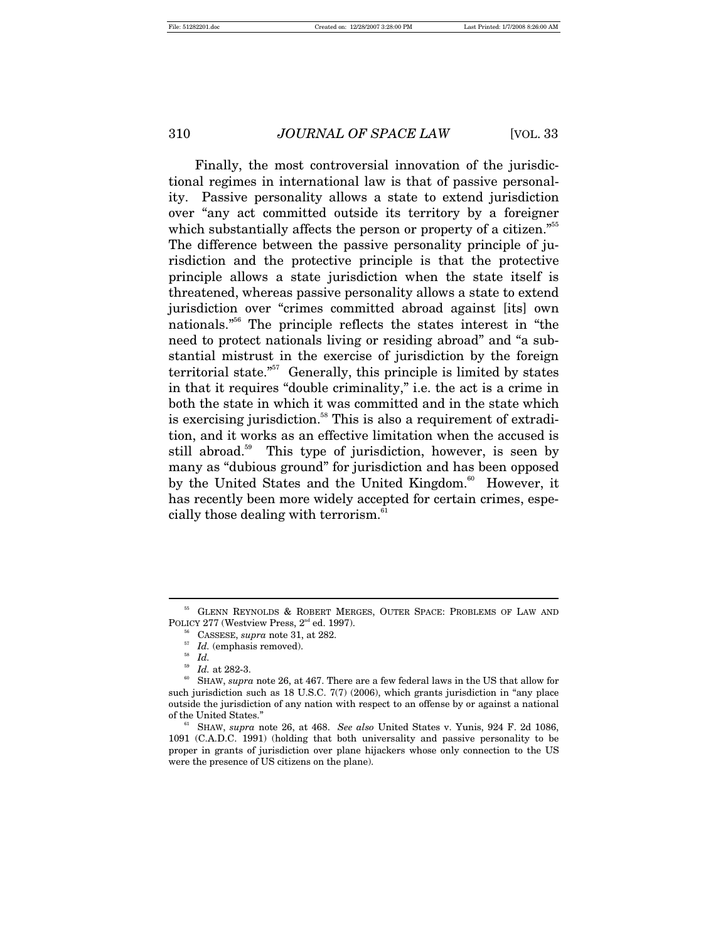Finally, the most controversial innovation of the jurisdictional regimes in international law is that of passive personality. Passive personality allows a state to extend jurisdiction over "any act committed outside its territory by a foreigner which substantially affects the person or property of a citizen."<sup>55</sup> The difference between the passive personality principle of jurisdiction and the protective principle is that the protective principle allows a state jurisdiction when the state itself is threatened, whereas passive personality allows a state to extend jurisdiction over "crimes committed abroad against [its] own nationals."56 The principle reflects the states interest in "the need to protect nationals living or residing abroad" and "a substantial mistrust in the exercise of jurisdiction by the foreign territorial state.<sup> $557$ </sup> Generally, this principle is limited by states in that it requires "double criminality," i.e. the act is a crime in both the state in which it was committed and in the state which is exercising jurisdiction.<sup>58</sup> This is also a requirement of extradition, and it works as an effective limitation when the accused is still abroad.<sup>59</sup> This type of jurisdiction, however, is seen by many as "dubious ground" for jurisdiction and has been opposed by the United States and the United Kingdom.<sup>60</sup> However, it has recently been more widely accepted for certain crimes, especially those dealing with terrorism.<sup>61</sup>

<sup>55</sup> GLENN REYNOLDS & ROBERT MERGES, OUTER SPACE: PROBLEMS OF LAW AND POLICY 277 (Westview Press, 2<sup>nd</sup> ed. 1997).<br><sup>56</sup> CASSESE, *supra* note 31, at 282.<br><sup>57</sup> *Id.* (emphasis removed).<br><sup>58</sup> *Id. id.* at 282-3.

 $^{60}$  SHAW,  $supra$  note 26, at 467. There are a few federal laws in the US that allow for such jurisdiction such as 18 U.S.C. 7(7) (2006), which grants jurisdiction in "any place outside the jurisdiction of any nation with respect to an offense by or against a national of the United States." 61 SHAW, *supra* note 26, at 468. *See also* United States v. Yunis, 924 F. 2d 1086,

<sup>1091 (</sup>C.A.D.C. 1991) (holding that both universality and passive personality to be proper in grants of jurisdiction over plane hijackers whose only connection to the US were the presence of US citizens on the plane).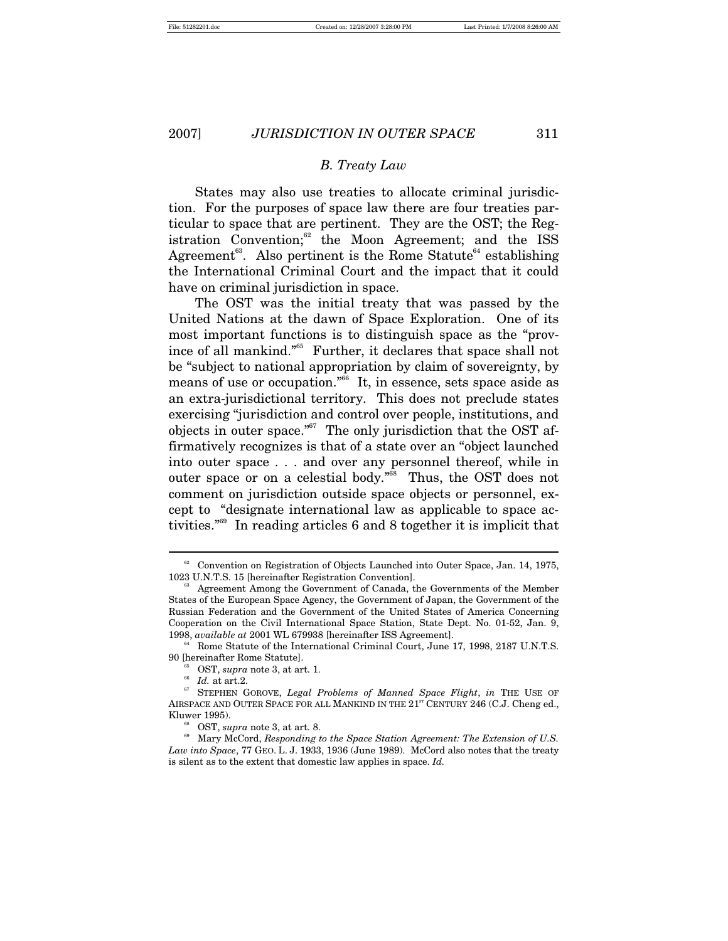## *B. Treaty Law*

States may also use treaties to allocate criminal jurisdiction. For the purposes of space law there are four treaties particular to space that are pertinent. They are the OST; the Registration Convention; $62$  the Moon Agreement; and the ISS Agreement<sup>63</sup>. Also pertinent is the Rome Statute<sup>64</sup> establishing the International Criminal Court and the impact that it could have on criminal jurisdiction in space.

The OST was the initial treaty that was passed by the United Nations at the dawn of Space Exploration. One of its most important functions is to distinguish space as the "province of all mankind."65 Further, it declares that space shall not be "subject to national appropriation by claim of sovereignty, by means of use or occupation."<sup>66</sup> It, in essence, sets space aside as an extra-jurisdictional territory. This does not preclude states exercising "jurisdiction and control over people, institutions, and objects in outer space."<sup>67</sup> The only jurisdiction that the OST affirmatively recognizes is that of a state over an "object launched into outer space . . . and over any personnel thereof, while in outer space or on a celestial body."<sup>68</sup> Thus, the OST does not comment on jurisdiction outside space objects or personnel, except to "designate international law as applicable to space activities."69 In reading articles 6 and 8 together it is implicit that

 $62$  Convention on Registration of Objects Launched into Outer Space, Jan. 14, 1975, 1023 U.N.T.S. 15 [hereinafter Registration Convention].<br><sup>63</sup> Agreement Among the Government of Canada, the Governments of the Member

States of the European Space Agency, the Government of Japan, the Government of the Russian Federation and the Government of the United States of America Concerning Cooperation on the Civil International Space Station, State Dept. No. 01-52, Jan. 9, 1998, *available at* 2001 WL 679938 [hereinafter ISS Agreement].

Rome Statute of the International Criminal Court, June 17, 1998, 2187 U.N.T.S. 90 [hereinafter Rome Statute].<br>
<sup>65</sup> OST, *supra* note 3, at art. 1.<br>
<sup>66</sup> *Id.* at art.2.<br>
<sup>67</sup> STEPHEN GOROVE, *Legal Problems of Manned Space Flight*, *in* THE USE OF

AIRSPACE AND OUTER SPACE FOR ALL MANKIND IN THE  $21^{st}$  CENTURY 246 (C.J. Cheng ed.,

Kluwer 1995).<br><sup>68</sup> OST, *supra* note 3, at art. 8.<br><sup>69</sup> Mary McCord, *Responding to the Space Station Agreement: The Extension of U.S. Law into Space*, 77 GEO. L. J. 1933, 1936 (June 1989). McCord also notes that the treaty is silent as to the extent that domestic law applies in space. *Id.*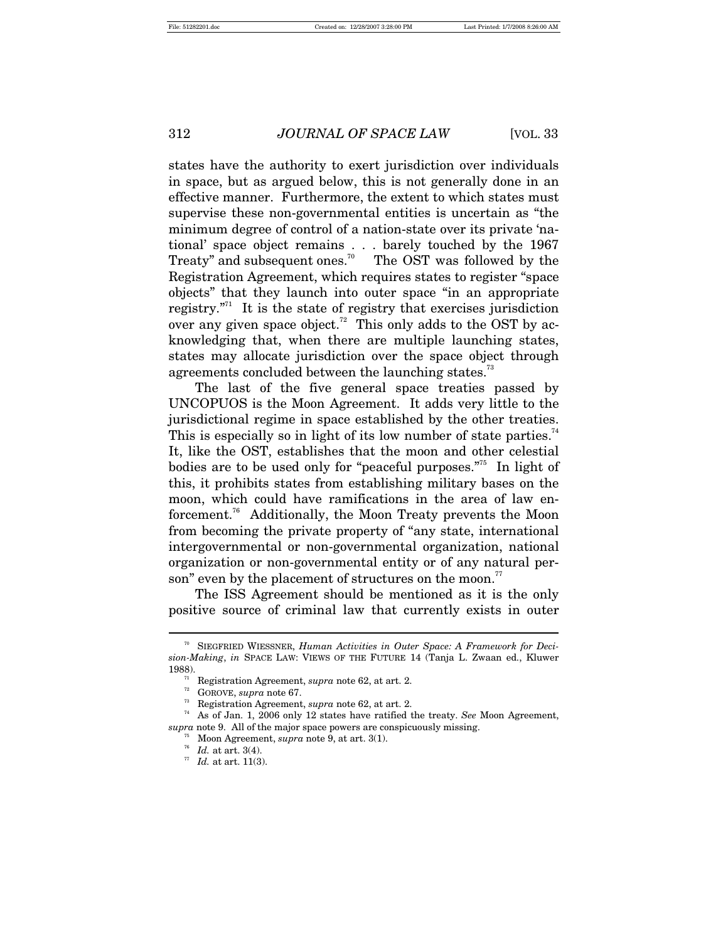states have the authority to exert jurisdiction over individuals in space, but as argued below, this is not generally done in an effective manner. Furthermore, the extent to which states must supervise these non-governmental entities is uncertain as "the minimum degree of control of a nation-state over its private 'national' space object remains . . . barely touched by the 1967 Treaty" and subsequent ones.<sup>70</sup> The OST was followed by the Registration Agreement, which requires states to register "space objects" that they launch into outer space "in an appropriate registry. $"^{71}$  It is the state of registry that exercises jurisdiction over any given space object.<sup>72</sup> This only adds to the OST by acknowledging that, when there are multiple launching states, states may allocate jurisdiction over the space object through agreements concluded between the launching states.<sup>73</sup>

The last of the five general space treaties passed by UNCOPUOS is the Moon Agreement. It adds very little to the jurisdictional regime in space established by the other treaties. This is especially so in light of its low number of state parties.<sup>74</sup> It, like the OST, establishes that the moon and other celestial bodies are to be used only for "peaceful purposes."<sup>5</sup> In light of this, it prohibits states from establishing military bases on the moon, which could have ramifications in the area of law enforcement.76 Additionally, the Moon Treaty prevents the Moon from becoming the private property of "any state, international intergovernmental or non-governmental organization, national organization or non-governmental entity or of any natural person" even by the placement of structures on the moon.<sup>77</sup>

The ISS Agreement should be mentioned as it is the only positive source of criminal law that currently exists in outer

<sup>70</sup> SIEGFRIED WIESSNER, *Human Activities in Outer Space: A Framework for Decision-Making*, *in* SPACE LAW: VIEWS OF THE FUTURE 14 (Tanja L. Zwaan ed., Kluwer 1988).<br>
<sup>71</sup> Registration Agreement, *supra* note 62, at art. 2.<br>
<sup>72</sup> GOROVE, *supra* note 67.<br>
<sup>73</sup> Registration Agreement, *supra* note 62, at art. 2.<br>
<sup>74</sup> As of Jan. 1, 2006 only 12 states have ratified the treaty.

*supra* note 9. All of the major space powers are conspicuously missing. <sup>75</sup> Moon Agreement, *supra* note 9, at art. 3(1). <sup>77</sup> *Id.* at art. 11(3). <sup>77</sup> *Id.* at art. 11(3).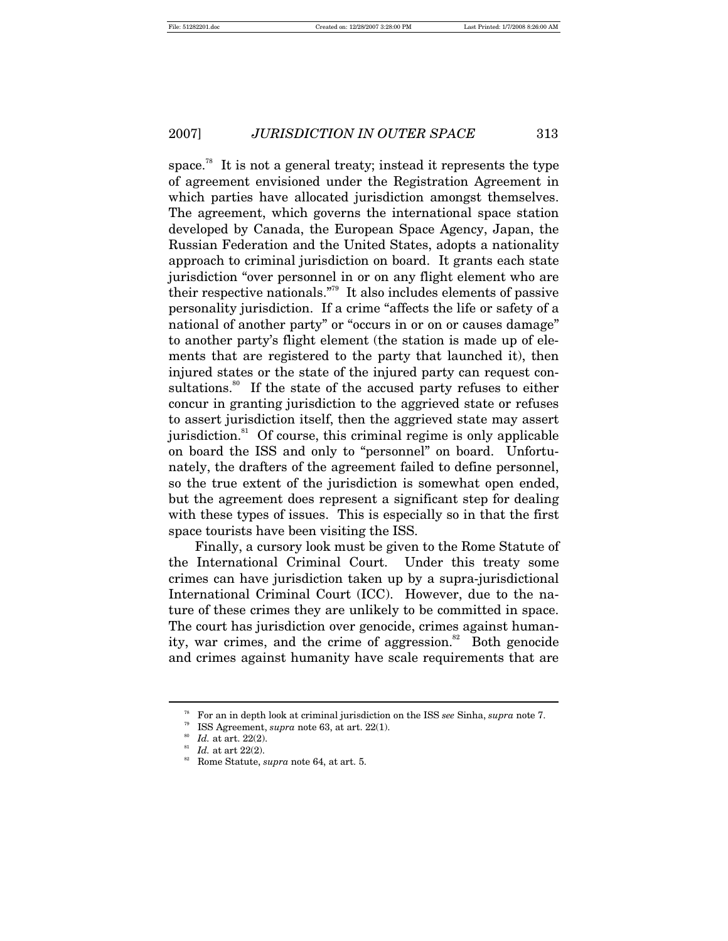space.<sup>78</sup> It is not a general treaty; instead it represents the type of agreement envisioned under the Registration Agreement in which parties have allocated jurisdiction amongst themselves. The agreement, which governs the international space station developed by Canada, the European Space Agency, Japan, the Russian Federation and the United States, adopts a nationality approach to criminal jurisdiction on board. It grants each state jurisdiction "over personnel in or on any flight element who are their respective nationals."79 It also includes elements of passive personality jurisdiction. If a crime "affects the life or safety of a national of another party" or "occurs in or on or causes damage" to another party's flight element (the station is made up of elements that are registered to the party that launched it), then injured states or the state of the injured party can request consultations.<sup>80</sup> If the state of the accused party refuses to either concur in granting jurisdiction to the aggrieved state or refuses to assert jurisdiction itself, then the aggrieved state may assert jurisdiction. $81$  Of course, this criminal regime is only applicable on board the ISS and only to "personnel" on board. Unfortunately, the drafters of the agreement failed to define personnel, so the true extent of the jurisdiction is somewhat open ended, but the agreement does represent a significant step for dealing with these types of issues. This is especially so in that the first space tourists have been visiting the ISS.

Finally, a cursory look must be given to the Rome Statute of the International Criminal Court. Under this treaty some crimes can have jurisdiction taken up by a supra-jurisdictional International Criminal Court (ICC). However, due to the nature of these crimes they are unlikely to be committed in space. The court has jurisdiction over genocide, crimes against humanity, war crimes, and the crime of aggression.<sup>82</sup> Both genocide and crimes against humanity have scale requirements that are

<sup>&</sup>lt;sup>78</sup> For an in depth look at criminal jurisdiction on the ISS *see* Sinha, *supra* note 7.<br><sup>79</sup> ISS Agreement, *supra* note 63, at art. 22(1).<br><sup>80</sup> Id. at art. 22(2).<br><sup>81</sup> Id. at art 22(2).<br><sup>81</sup> Id. at art 22(2).<br><sup>81</sup> Rom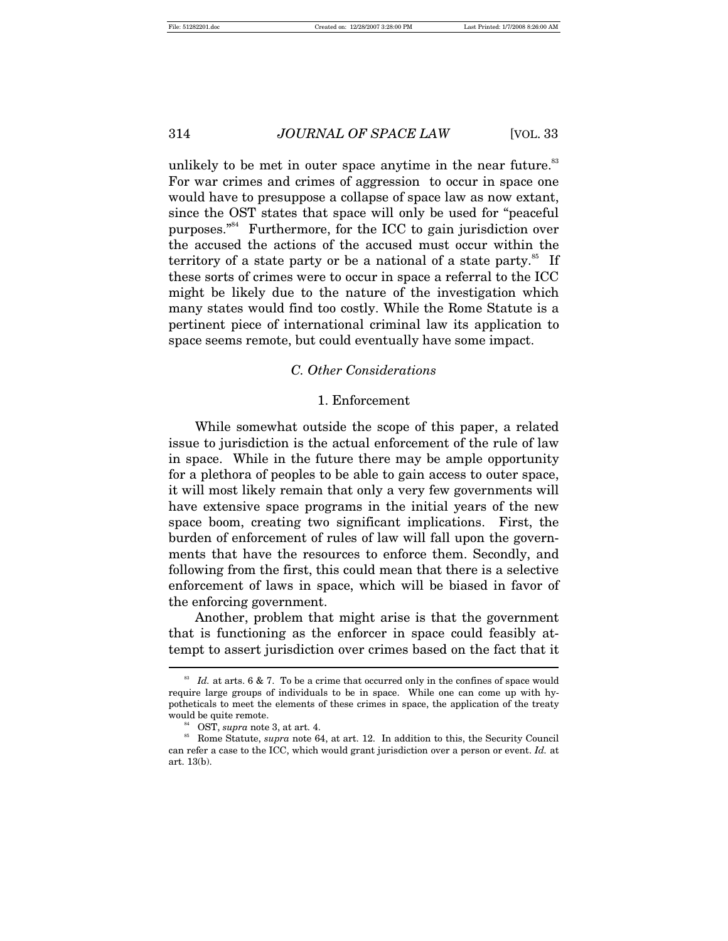unlikely to be met in outer space anytime in the near future.<sup>83</sup> For war crimes and crimes of aggression to occur in space one would have to presuppose a collapse of space law as now extant, since the OST states that space will only be used for "peaceful purposes."84 Furthermore, for the ICC to gain jurisdiction over the accused the actions of the accused must occur within the territory of a state party or be a national of a state party.<sup>85</sup> If these sorts of crimes were to occur in space a referral to the ICC might be likely due to the nature of the investigation which many states would find too costly. While the Rome Statute is a pertinent piece of international criminal law its application to space seems remote, but could eventually have some impact.

#### *C. Other Considerations*

## 1. Enforcement

While somewhat outside the scope of this paper, a related issue to jurisdiction is the actual enforcement of the rule of law in space. While in the future there may be ample opportunity for a plethora of peoples to be able to gain access to outer space, it will most likely remain that only a very few governments will have extensive space programs in the initial years of the new space boom, creating two significant implications. First, the burden of enforcement of rules of law will fall upon the governments that have the resources to enforce them. Secondly, and following from the first, this could mean that there is a selective enforcement of laws in space, which will be biased in favor of the enforcing government.

Another, problem that might arise is that the government that is functioning as the enforcer in space could feasibly attempt to assert jurisdiction over crimes based on the fact that it  $\overline{a}$ 

 $83$  Id. at arts. 6 & 7. To be a crime that occurred only in the confines of space would require large groups of individuals to be in space. While one can come up with hypotheticals to meet the elements of these crimes in space, the application of the treaty

would be quite remote.<br><sup>84</sup> OST, *supra* note 3, at art. 4.<br><sup>85</sup> Rome Statute, *supra* note 64, at art. 12. In addition to this, the Security Council can refer a case to the ICC, which would grant jurisdiction over a person or event. *Id.* at art. 13(b).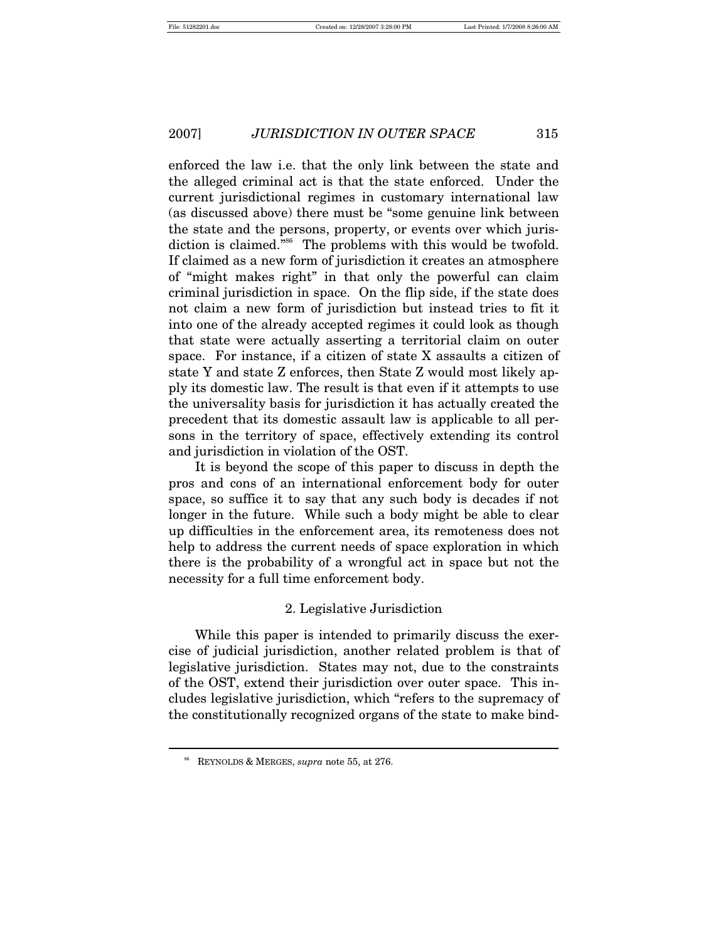enforced the law i.e. that the only link between the state and the alleged criminal act is that the state enforced. Under the current jurisdictional regimes in customary international law (as discussed above) there must be "some genuine link between the state and the persons, property, or events over which jurisdiction is claimed."<sup>86</sup> The problems with this would be twofold. If claimed as a new form of jurisdiction it creates an atmosphere of "might makes right" in that only the powerful can claim criminal jurisdiction in space. On the flip side, if the state does not claim a new form of jurisdiction but instead tries to fit it into one of the already accepted regimes it could look as though that state were actually asserting a territorial claim on outer space. For instance, if a citizen of state X assaults a citizen of state Y and state Z enforces, then State Z would most likely apply its domestic law. The result is that even if it attempts to use the universality basis for jurisdiction it has actually created the precedent that its domestic assault law is applicable to all persons in the territory of space, effectively extending its control and jurisdiction in violation of the OST.

It is beyond the scope of this paper to discuss in depth the pros and cons of an international enforcement body for outer space, so suffice it to say that any such body is decades if not longer in the future. While such a body might be able to clear up difficulties in the enforcement area, its remoteness does not help to address the current needs of space exploration in which there is the probability of a wrongful act in space but not the necessity for a full time enforcement body.

# 2. Legislative Jurisdiction

While this paper is intended to primarily discuss the exercise of judicial jurisdiction, another related problem is that of legislative jurisdiction. States may not, due to the constraints of the OST, extend their jurisdiction over outer space. This includes legislative jurisdiction, which "refers to the supremacy of the constitutionally recognized organs of the state to make bind-

<sup>86</sup> REYNOLDS & MERGES, *supra* note 55, at 276.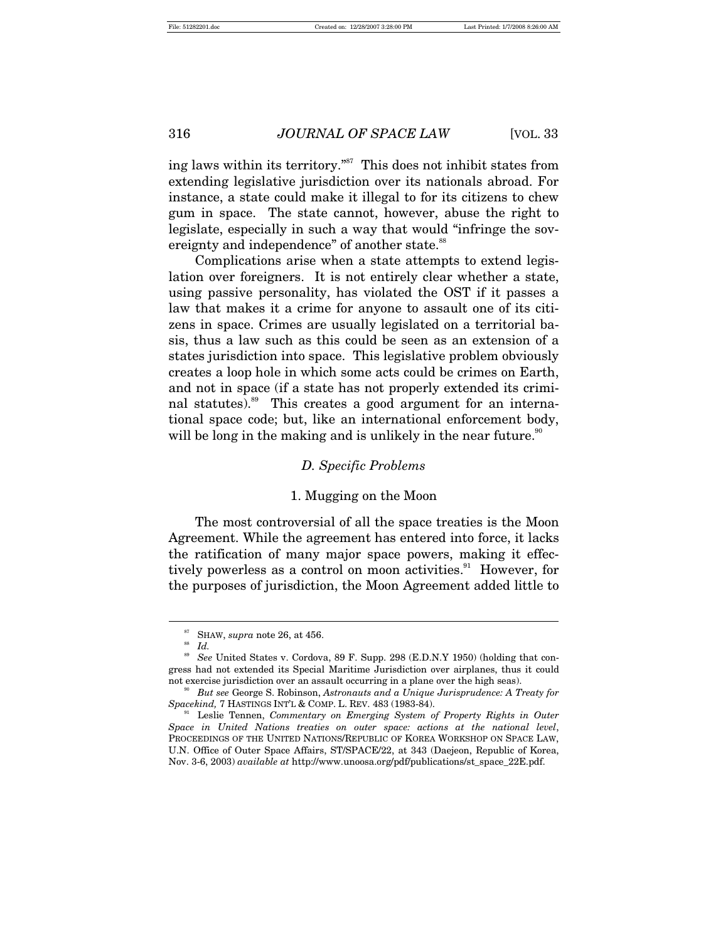ing laws within its territory."<sup>87</sup> This does not inhibit states from extending legislative jurisdiction over its nationals abroad. For instance, a state could make it illegal to for its citizens to chew gum in space. The state cannot, however, abuse the right to legislate, especially in such a way that would "infringe the sovereignty and independence" of another state.<sup>88</sup>

Complications arise when a state attempts to extend legislation over foreigners. It is not entirely clear whether a state, using passive personality, has violated the OST if it passes a law that makes it a crime for anyone to assault one of its citizens in space. Crimes are usually legislated on a territorial basis, thus a law such as this could be seen as an extension of a states jurisdiction into space. This legislative problem obviously creates a loop hole in which some acts could be crimes on Earth, and not in space (if a state has not properly extended its criminal statutes).<sup>89</sup> This creates a good argument for an international space code; but, like an international enforcement body, will be long in the making and is unlikely in the near future.<sup>90</sup>

#### *D. Specific Problems*

#### 1. Mugging on the Moon

The most controversial of all the space treaties is the Moon Agreement. While the agreement has entered into force, it lacks the ratification of many major space powers, making it effectively powerless as a control on moon activities.<sup>91</sup> However, for the purposes of jurisdiction, the Moon Agreement added little to

<sup>&</sup>lt;sup>87</sup> SHAW, *supra* note 26, at 456.<br><sup>88</sup> *Id.*<br><sup>89</sup> *See* United States y Cordovs

See United States v. Cordova, 89 F. Supp. 298 (E.D.N.Y 1950) (holding that congress had not extended its Special Maritime Jurisdiction over airplanes, thus it could

not exercise jurisdiction over an assault occurring in a plane over the high seas).<br><sup>90</sup> *But see* George S. Robinson, *Astronauts and a Unique Jurisprudence: A Treaty for Spacekind, 7 HASTINGS INT'L & COMP. L. REV. 483 (1* 

Leslie Tennen, *Commentary on Emerging System of Property Rights in Outer Space in United Nations treaties on outer space: actions at the national level*, PROCEEDINGS OF THE UNITED NATIONS/REPUBLIC OF KOREA WORKSHOP ON SPACE LAW, U.N. Office of Outer Space Affairs, ST/SPACE/22, at 343 (Daejeon, Republic of Korea, Nov. 3-6, 2003) *available at* http://www.unoosa.org/pdf/publications/st\_space\_22E.pdf.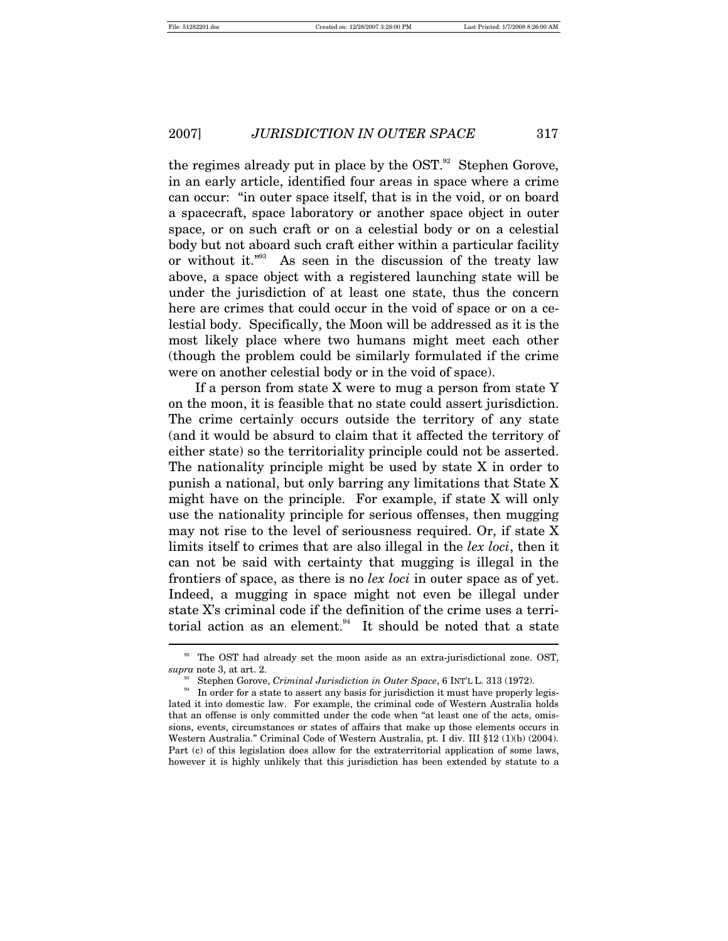the regimes already put in place by the OST. $92$  Stephen Gorove, in an early article, identified four areas in space where a crime can occur: "in outer space itself, that is in the void, or on board a spacecraft, space laboratory or another space object in outer space, or on such craft or on a celestial body or on a celestial body but not aboard such craft either within a particular facility or without it."93 As seen in the discussion of the treaty law above, a space object with a registered launching state will be under the jurisdiction of at least one state, thus the concern here are crimes that could occur in the void of space or on a celestial body. Specifically, the Moon will be addressed as it is the most likely place where two humans might meet each other (though the problem could be similarly formulated if the crime were on another celestial body or in the void of space).

If a person from state X were to mug a person from state Y on the moon, it is feasible that no state could assert jurisdiction. The crime certainly occurs outside the territory of any state (and it would be absurd to claim that it affected the territory of either state) so the territoriality principle could not be asserted. The nationality principle might be used by state X in order to punish a national, but only barring any limitations that State X might have on the principle. For example, if state X will only use the nationality principle for serious offenses, then mugging may not rise to the level of seriousness required. Or, if state X limits itself to crimes that are also illegal in the *lex loci*, then it can not be said with certainty that mugging is illegal in the frontiers of space, as there is no *lex loci* in outer space as of yet. Indeed, a mugging in space might not even be illegal under state X's criminal code if the definition of the crime uses a territorial action as an element. $94$  It should be noted that a state

 $^{92}$  The OST had already set the moon aside as an extra-jurisdictional zone. OST,  $supra$  note 3, at art. 2.

<sup>&</sup>lt;sup>33</sup> Stephen Gorove, *Criminal Jurisdiction in Outer Space*, 6 INT<sup>'</sup>L L. 313 (1972).<br><sup>34</sup> In order for a state to assert any basis for jurisdiction it must have properly legislated it into domestic law. For example, the criminal code of Western Australia holds that an offense is only committed under the code when "at least one of the acts, omissions, events, circumstances or states of affairs that make up those elements occurs in Western Australia." Criminal Code of Western Australia, pt. I div. III §12 (1)(b) (2004). Part (c) of this legislation does allow for the extraterritorial application of some laws, however it is highly unlikely that this jurisdiction has been extended by statute to a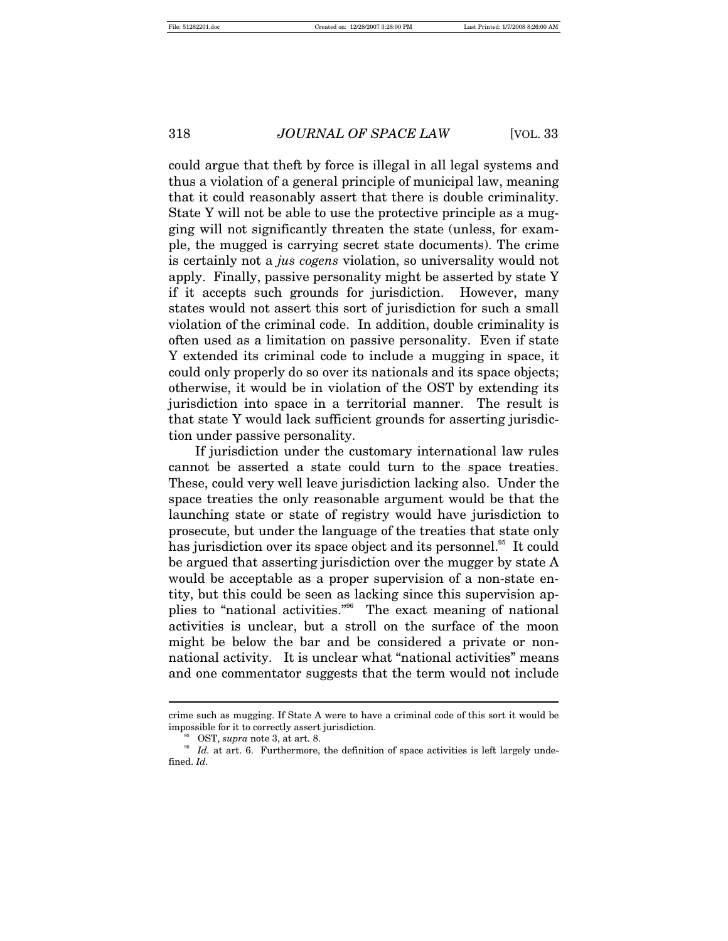could argue that theft by force is illegal in all legal systems and thus a violation of a general principle of municipal law, meaning that it could reasonably assert that there is double criminality. State Y will not be able to use the protective principle as a mugging will not significantly threaten the state (unless, for example, the mugged is carrying secret state documents). The crime is certainly not a *jus cogens* violation, so universality would not apply. Finally, passive personality might be asserted by state Y if it accepts such grounds for jurisdiction. However, many states would not assert this sort of jurisdiction for such a small violation of the criminal code. In addition, double criminality is often used as a limitation on passive personality. Even if state Y extended its criminal code to include a mugging in space, it could only properly do so over its nationals and its space objects; otherwise, it would be in violation of the OST by extending its jurisdiction into space in a territorial manner. The result is that state Y would lack sufficient grounds for asserting jurisdiction under passive personality.

If jurisdiction under the customary international law rules cannot be asserted a state could turn to the space treaties. These, could very well leave jurisdiction lacking also. Under the space treaties the only reasonable argument would be that the launching state or state of registry would have jurisdiction to prosecute, but under the language of the treaties that state only has jurisdiction over its space object and its personnel.<sup>95</sup> It could be argued that asserting jurisdiction over the mugger by state A would be acceptable as a proper supervision of a non-state entity, but this could be seen as lacking since this supervision applies to "national activities."96 The exact meaning of national activities is unclear, but a stroll on the surface of the moon might be below the bar and be considered a private or nonnational activity. It is unclear what "national activities" means and one commentator suggests that the term would not include

crime such as mugging. If State A were to have a criminal code of this sort it would be

impossible for it to correctly assert jurisdiction.<br><sup>95</sup> OST, *supra* note 3, at art. 8.<br><sup>96</sup> *Id.* at art. 6. Furthermore, the definition of space activities is left largely undefined. *Id.*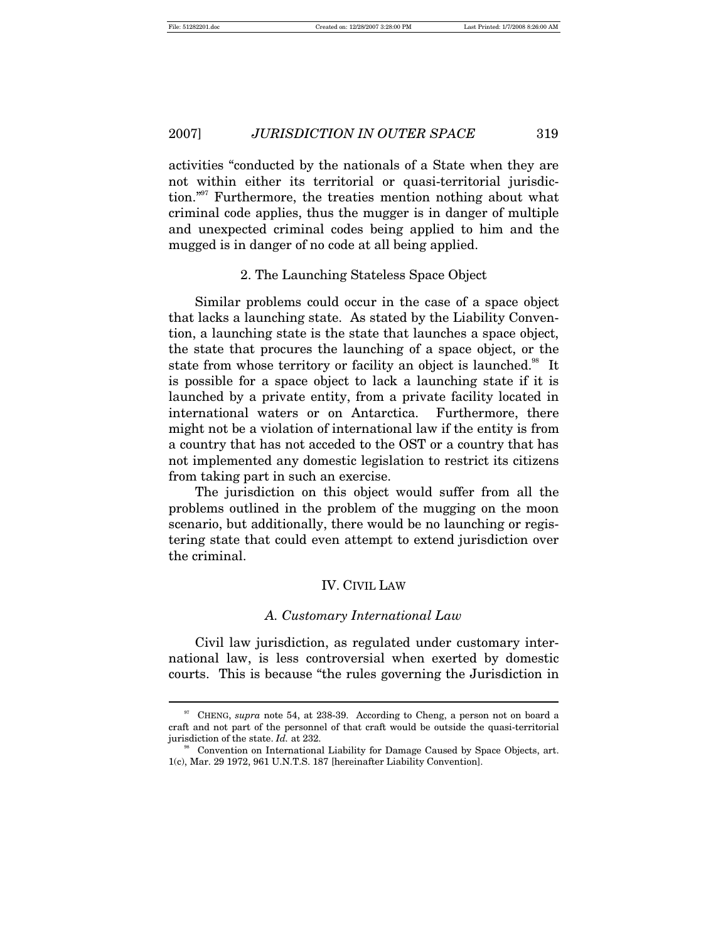$\overline{a}$ 

# 2007] *JURISDICTION IN OUTER SPACE* 319

activities "conducted by the nationals of a State when they are not within either its territorial or quasi-territorial jurisdiction."<sup>97</sup> Furthermore, the treaties mention nothing about what criminal code applies, thus the mugger is in danger of multiple and unexpected criminal codes being applied to him and the mugged is in danger of no code at all being applied.

#### 2. The Launching Stateless Space Object

Similar problems could occur in the case of a space object that lacks a launching state. As stated by the Liability Convention, a launching state is the state that launches a space object, the state that procures the launching of a space object, or the state from whose territory or facility an object is launched.<sup>38</sup> It is possible for a space object to lack a launching state if it is launched by a private entity, from a private facility located in international waters or on Antarctica. Furthermore, there might not be a violation of international law if the entity is from a country that has not acceded to the OST or a country that has not implemented any domestic legislation to restrict its citizens from taking part in such an exercise.

The jurisdiction on this object would suffer from all the problems outlined in the problem of the mugging on the moon scenario, but additionally, there would be no launching or registering state that could even attempt to extend jurisdiction over the criminal.

#### IV. CIVIL LAW

#### *A. Customary International Law*

Civil law jurisdiction, as regulated under customary international law, is less controversial when exerted by domestic courts. This is because "the rules governing the Jurisdiction in

<sup>&</sup>lt;sup>97</sup> CHENG, *supra* note 54, at 238-39. According to Cheng, a person not on board a craft and not part of the personnel of that craft would be outside the quasi-territorial jurisdiction of the state. *Id.* at 232. 98 Superioristic on International Liability for Damage Caused by Space Objects, art.

<sup>1(</sup>c), Mar. 29 1972, 961 U.N.T.S. 187 [hereinafter Liability Convention].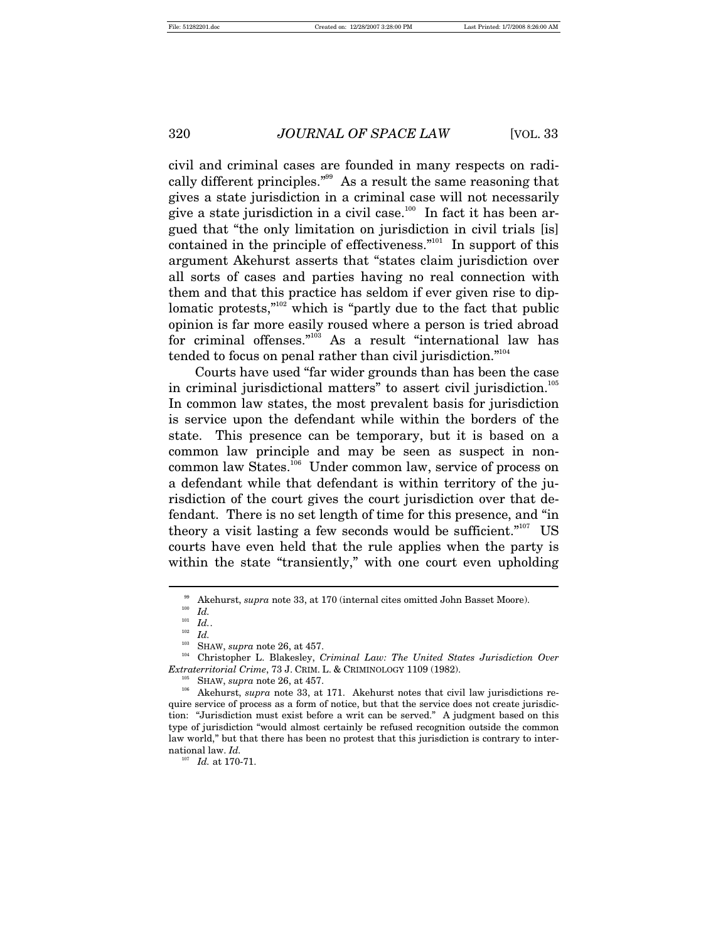civil and criminal cases are founded in many respects on radically different principles."99 As a result the same reasoning that gives a state jurisdiction in a criminal case will not necessarily give a state jurisdiction in a civil case.<sup>100</sup> In fact it has been argued that "the only limitation on jurisdiction in civil trials [is] contained in the principle of effectiveness. $"$ <sup>101</sup> In support of this argument Akehurst asserts that "states claim jurisdiction over all sorts of cases and parties having no real connection with them and that this practice has seldom if ever given rise to diplomatic protests,"<sup>102</sup> which is "partly due to the fact that public opinion is far more easily roused where a person is tried abroad for criminal offenses."<sup>103</sup> As a result "international law has tended to focus on penal rather than civil jurisdiction."<sup>104</sup>

Courts have used "far wider grounds than has been the case in criminal jurisdictional matters" to assert civil jurisdiction.<sup>105</sup> In common law states, the most prevalent basis for jurisdiction is service upon the defendant while within the borders of the state. This presence can be temporary, but it is based on a common law principle and may be seen as suspect in noncommon law States.<sup>106</sup> Under common law, service of process on a defendant while that defendant is within territory of the jurisdiction of the court gives the court jurisdiction over that defendant. There is no set length of time for this presence, and "in theory a visit lasting a few seconds would be sufficient."<sup>107</sup> US courts have even held that the rule applies when the party is within the state "transiently," with one court even upholding

<sup>&</sup>lt;sup>99</sup> Akehurst, *supra* note 33, at 170 (internal cites omitted John Basset Moore).<br>
<sup>100</sup> *Id.*<br>
<sup>101</sup> *IJ* 

 $\begin{array}{cc} ^{101} & Id.. \ ^{102} & Id.. \ \end{array}$ 

<sup>&</sup>lt;sup>103</sup> SHAW, *supra* note 26, at 457.<br><sup>104</sup> Christopher L. Blakesley, *Criminal Law: The United States Jurisdiction Over* 

*Extraterritorial Crime*, 73 J. CRIM. L. & CRIMINOLOGY 1109 (1982).<br><sup>105</sup> SHAW, *supra* note 26, at 457.<br><sup>106</sup> Akehurst, *supra* note 33, at 171. Akehurst notes that civil law jurisdictions require service of process as a form of notice, but that the service does not create jurisdiction: "Jurisdiction must exist before a writ can be served." A judgment based on this type of jurisdiction "would almost certainly be refused recognition outside the common law world," but that there has been no protest that this jurisdiction is contrary to international law. *Id.* 107 *Id.* at 170-71.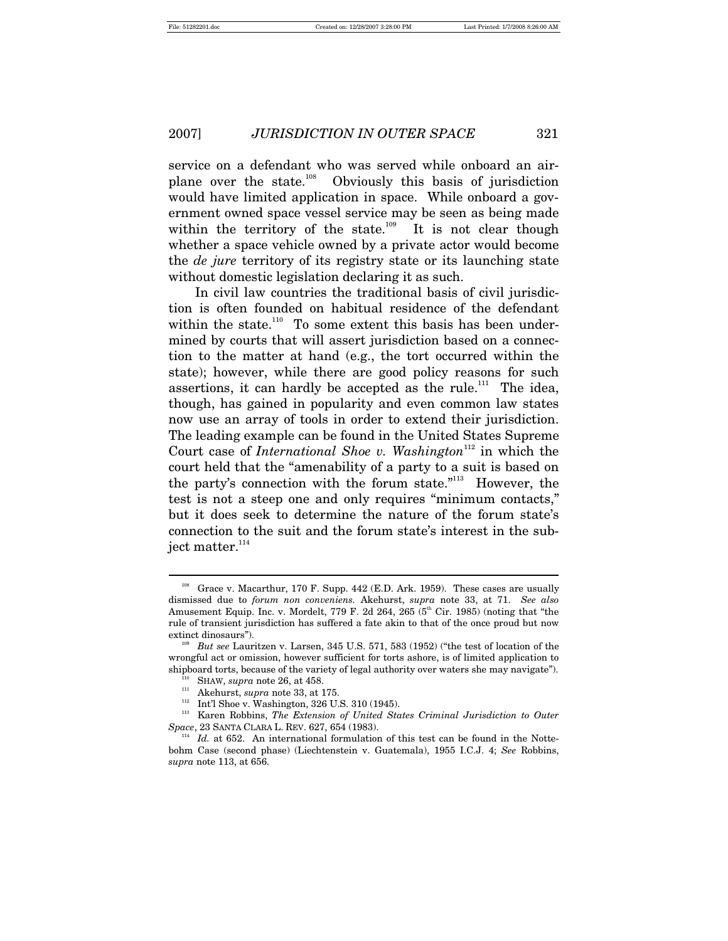service on a defendant who was served while onboard an airplane over the state.<sup>108</sup> Obviously this basis of jurisdiction would have limited application in space. While onboard a government owned space vessel service may be seen as being made within the territory of the state.<sup>109</sup> It is not clear though whether a space vehicle owned by a private actor would become the *de jure* territory of its registry state or its launching state without domestic legislation declaring it as such.

In civil law countries the traditional basis of civil jurisdiction is often founded on habitual residence of the defendant within the state.<sup>110</sup> To some extent this basis has been undermined by courts that will assert jurisdiction based on a connection to the matter at hand (e.g., the tort occurred within the state); however, while there are good policy reasons for such assertions, it can hardly be accepted as the rule.<sup>111</sup> The idea, though, has gained in popularity and even common law states now use an array of tools in order to extend their jurisdiction. The leading example can be found in the United States Supreme Court case of *International Shoe v. Washington*<sup>112</sup> in which the court held that the "amenability of a party to a suit is based on the party's connection with the forum state."113 However, the test is not a steep one and only requires "minimum contacts," but it does seek to determine the nature of the forum state's connection to the suit and the forum state's interest in the subject matter.<sup>114</sup>

<sup>&</sup>lt;sup>108</sup> Grace v. Macarthur, 170 F. Supp. 442 (E.D. Ark. 1959). These cases are usually dismissed due to *forum non conveniens.* Akehurst, *supra* note 33, at 71. *See also* Amusement Equip. Inc. v. Mordelt, 779 F. 2d 264, 265 ( $5<sup>th</sup>$  Cir. 1985) (noting that "the rule of transient jurisdiction has suffered a fate akin to that of the once proud but now extinct dinosaurs"). 109 *But see* Lauritzen v. Larsen, 345 U.S. 571, 583 (1952) ("the test of location of the

wrongful act or omission, however sufficient for torts ashore, is of limited application to % shipboard torts, because of the variety of legal authority over waters she may navigate").<br>  $^{110}$  SHAW, *supra* note 26, at 458.<br>  $^{111}$  Akehurst, *supra* note 33, at 175.<br>  $^{112}$  Int'l Shoe v. Washington, 326 U.S.

*Space*, 23 SANTA CLARA L. REV. 627, 654 (1983).<br><sup>114</sup> *Id.* at 652. An international formulation of this test can be found in the Notte-

bohm Case (second phase) (Liechtenstein v. Guatemala), 1955 I.C.J. 4; *See* Robbins, *supra* note 113, at 656.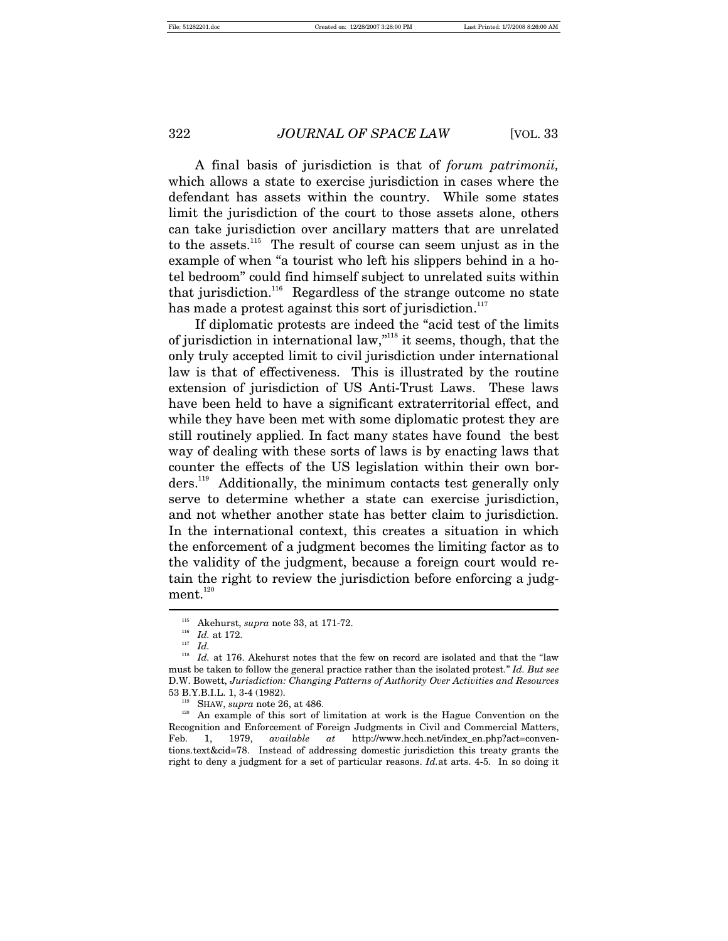A final basis of jurisdiction is that of *forum patrimonii,*  which allows a state to exercise jurisdiction in cases where the defendant has assets within the country. While some states limit the jurisdiction of the court to those assets alone, others can take jurisdiction over ancillary matters that are unrelated to the assets.<sup>115</sup> The result of course can seem unjust as in the example of when "a tourist who left his slippers behind in a hotel bedroom" could find himself subject to unrelated suits within that jurisdiction.<sup>116</sup> Regardless of the strange outcome no state has made a protest against this sort of jurisdiction.<sup>117</sup>

If diplomatic protests are indeed the "acid test of the limits of jurisdiction in international law,"118 it seems, though, that the only truly accepted limit to civil jurisdiction under international law is that of effectiveness. This is illustrated by the routine extension of jurisdiction of US Anti-Trust Laws. These laws have been held to have a significant extraterritorial effect, and while they have been met with some diplomatic protest they are still routinely applied. In fact many states have found the best way of dealing with these sorts of laws is by enacting laws that counter the effects of the US legislation within their own borders.<sup>119</sup> Additionally, the minimum contacts test generally only serve to determine whether a state can exercise jurisdiction, and not whether another state has better claim to jurisdiction. In the international context, this creates a situation in which the enforcement of a judgment becomes the limiting factor as to the validity of the judgment, because a foreign court would retain the right to review the jurisdiction before enforcing a judgment. $120$ 

<sup>&</sup>lt;sup>115</sup> Akehurst, *supra* note 33, at 171-72.<br><sup>116</sup> *Id.* at 172.<br><sup>117</sup> *Id* 

 $^{118}$   $\,$  Id. at 176. Akehurst notes that the few on record are isolated and that the "law must be taken to follow the general practice rather than the isolated protest." *Id. But see* D.W. Bowett, *Jurisdiction: Changing Patterns of Authority Over Activities and Resources* <sup>119</sup> SHAW, *supra* note 26, at 486.<br><sup>119</sup> SHAW, *supra* note 26, at 486.<br><sup>120</sup> An example of this sort of limitation at work is the Hague Convention on the

Recognition and Enforcement of Foreign Judgments in Civil and Commercial Matters, Feb. 1, 1979, *available at* http://www.hcch.net/index\_en.php?act=conventions.text&cid=78. Instead of addressing domestic jurisdiction this treaty grants the right to deny a judgment for a set of particular reasons. *Id.*at arts. 4-5. In so doing it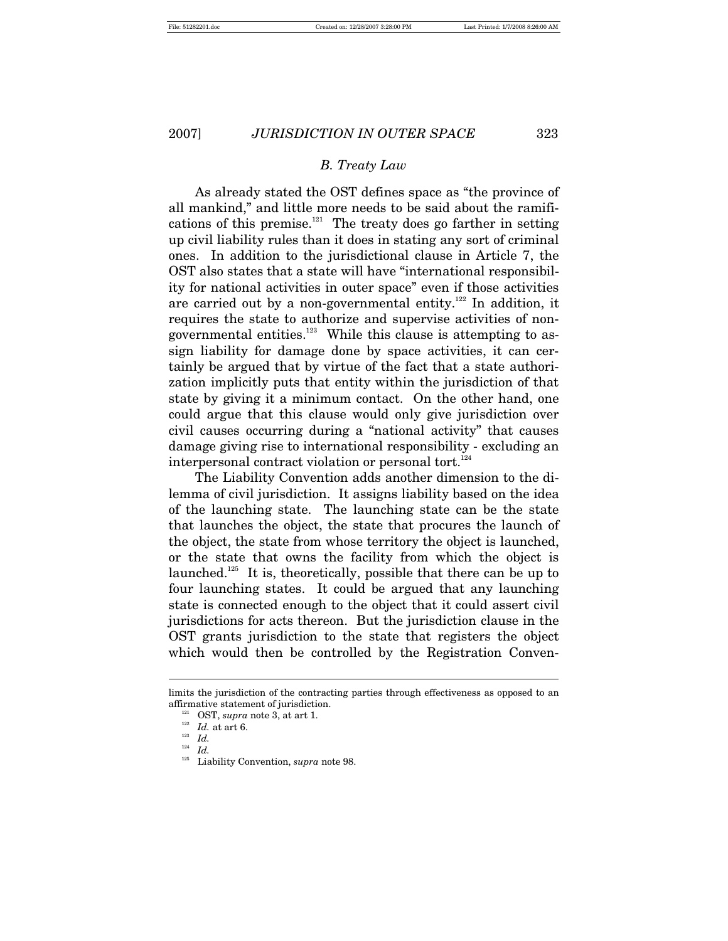## *B. Treaty Law*

As already stated the OST defines space as "the province of all mankind," and little more needs to be said about the ramifications of this premise. $121$  The treaty does go farther in setting up civil liability rules than it does in stating any sort of criminal ones. In addition to the jurisdictional clause in Article 7, the OST also states that a state will have "international responsibility for national activities in outer space" even if those activities are carried out by a non-governmental entity.<sup>122</sup> In addition, it requires the state to authorize and supervise activities of nongovernmental entities. $123$  While this clause is attempting to assign liability for damage done by space activities, it can certainly be argued that by virtue of the fact that a state authorization implicitly puts that entity within the jurisdiction of that state by giving it a minimum contact. On the other hand, one could argue that this clause would only give jurisdiction over civil causes occurring during a "national activity" that causes damage giving rise to international responsibility - excluding an interpersonal contract violation or personal tort.<sup>124</sup>

The Liability Convention adds another dimension to the dilemma of civil jurisdiction. It assigns liability based on the idea of the launching state. The launching state can be the state that launches the object, the state that procures the launch of the object, the state from whose territory the object is launched, or the state that owns the facility from which the object is launched.<sup>125</sup> It is, theoretically, possible that there can be up to four launching states. It could be argued that any launching state is connected enough to the object that it could assert civil jurisdictions for acts thereon. But the jurisdiction clause in the OST grants jurisdiction to the state that registers the object which would then be controlled by the Registration Conven-

limits the jurisdiction of the contracting parties through effectiveness as opposed to an affirmative statement of jurisdiction.<br><sup>121</sup> OST, *supra* note 3, at art 1.<br><sup>122</sup> *Id.* at art 6.<br><sup>124</sup> *Id.* 

 $\frac{124}{125}$  *Id.* 

Liability Convention, *supra* note 98.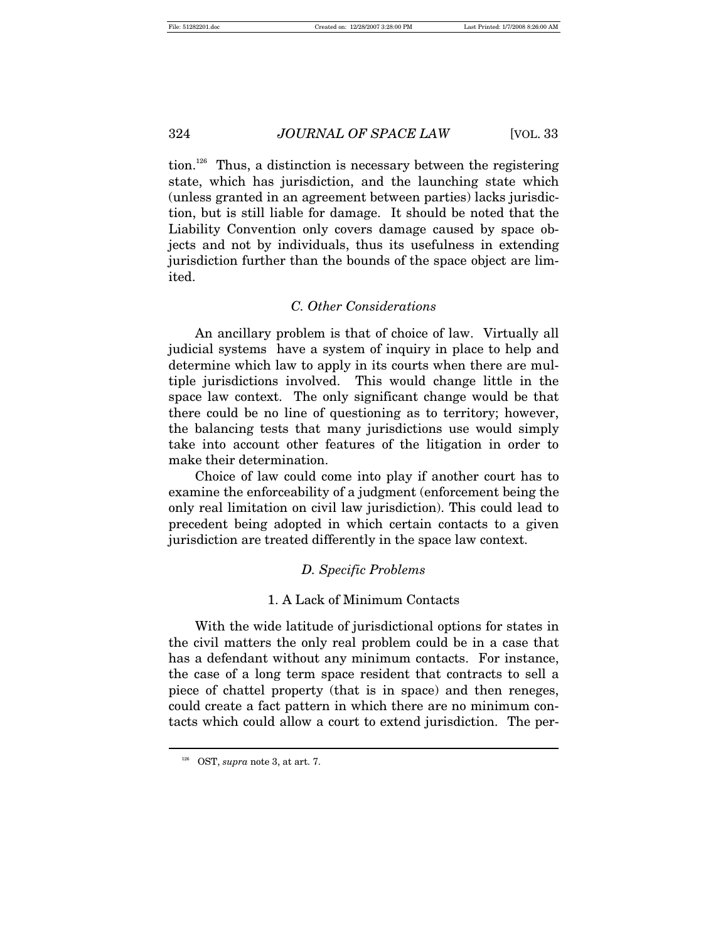tion.<sup>126</sup> Thus, a distinction is necessary between the registering state, which has jurisdiction, and the launching state which (unless granted in an agreement between parties) lacks jurisdiction, but is still liable for damage. It should be noted that the Liability Convention only covers damage caused by space objects and not by individuals, thus its usefulness in extending jurisdiction further than the bounds of the space object are limited.

# *C. Other Considerations*

An ancillary problem is that of choice of law. Virtually all judicial systems have a system of inquiry in place to help and determine which law to apply in its courts when there are multiple jurisdictions involved. This would change little in the space law context. The only significant change would be that there could be no line of questioning as to territory; however, the balancing tests that many jurisdictions use would simply take into account other features of the litigation in order to make their determination.

Choice of law could come into play if another court has to examine the enforceability of a judgment (enforcement being the only real limitation on civil law jurisdiction). This could lead to precedent being adopted in which certain contacts to a given jurisdiction are treated differently in the space law context.

# *D. Specific Problems*

#### 1. A Lack of Minimum Contacts

With the wide latitude of jurisdictional options for states in the civil matters the only real problem could be in a case that has a defendant without any minimum contacts. For instance, the case of a long term space resident that contracts to sell a piece of chattel property (that is in space) and then reneges, could create a fact pattern in which there are no minimum contacts which could allow a court to extend jurisdiction. The per-

<sup>126</sup> OST, *supra* note 3, at art. 7.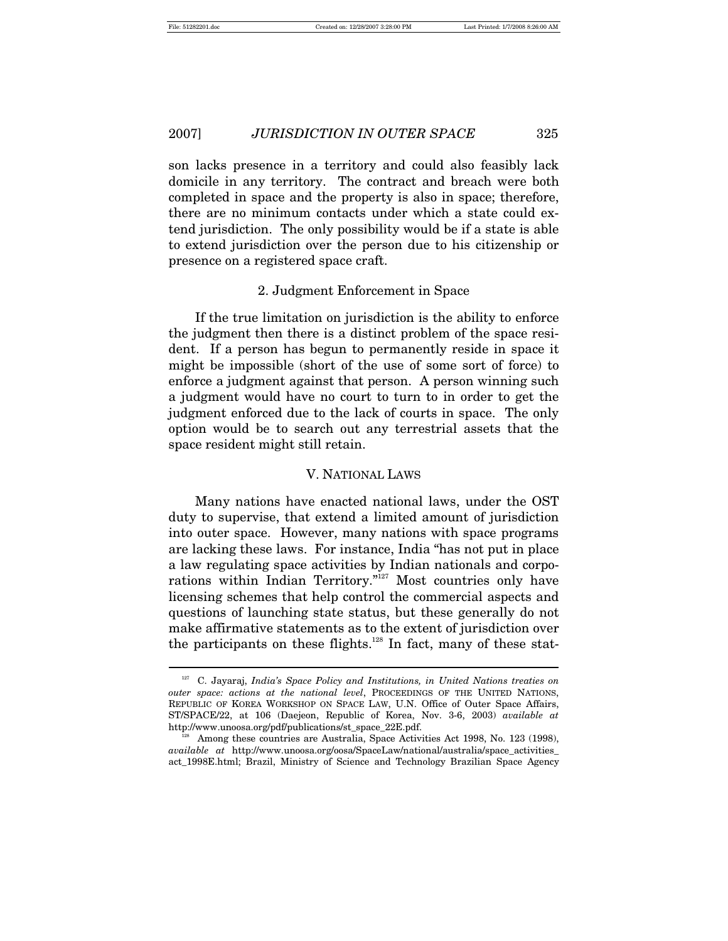$\overline{a}$ 

# 2007] *JURISDICTION IN OUTER SPACE* 325

son lacks presence in a territory and could also feasibly lack domicile in any territory. The contract and breach were both completed in space and the property is also in space; therefore, there are no minimum contacts under which a state could extend jurisdiction. The only possibility would be if a state is able to extend jurisdiction over the person due to his citizenship or presence on a registered space craft.

#### 2. Judgment Enforcement in Space

If the true limitation on jurisdiction is the ability to enforce the judgment then there is a distinct problem of the space resident. If a person has begun to permanently reside in space it might be impossible (short of the use of some sort of force) to enforce a judgment against that person. A person winning such a judgment would have no court to turn to in order to get the judgment enforced due to the lack of courts in space. The only option would be to search out any terrestrial assets that the space resident might still retain.

#### V. NATIONAL LAWS

Many nations have enacted national laws, under the OST duty to supervise, that extend a limited amount of jurisdiction into outer space. However, many nations with space programs are lacking these laws. For instance, India "has not put in place a law regulating space activities by Indian nationals and corporations within Indian Territory."127 Most countries only have licensing schemes that help control the commercial aspects and questions of launching state status, but these generally do not make affirmative statements as to the extent of jurisdiction over the participants on these flights. $128$  In fact, many of these stat-

<sup>127</sup> C. Jayaraj, *India's Space Policy and Institutions, in United Nations treaties on outer space: actions at the national level*, PROCEEDINGS OF THE UNITED NATIONS, REPUBLIC OF KOREA WORKSHOP ON SPACE LAW, U.N. Office of Outer Space Affairs, ST/SPACE/22, at 106 (Daejeon, Republic of Korea, Nov. 3-6, 2003) *available at* http://www.unoosa.org/pdf/publications/st\_space\_22E.pdf.<br><sup>128</sup> Among these countries are Australia, Space Activities Act 1998, No. 123 (1998),

*available at* http://www.unoosa.org/oosa/SpaceLaw/national/australia/space\_activities\_ act\_1998E.html; Brazil, Ministry of Science and Technology Brazilian Space Agency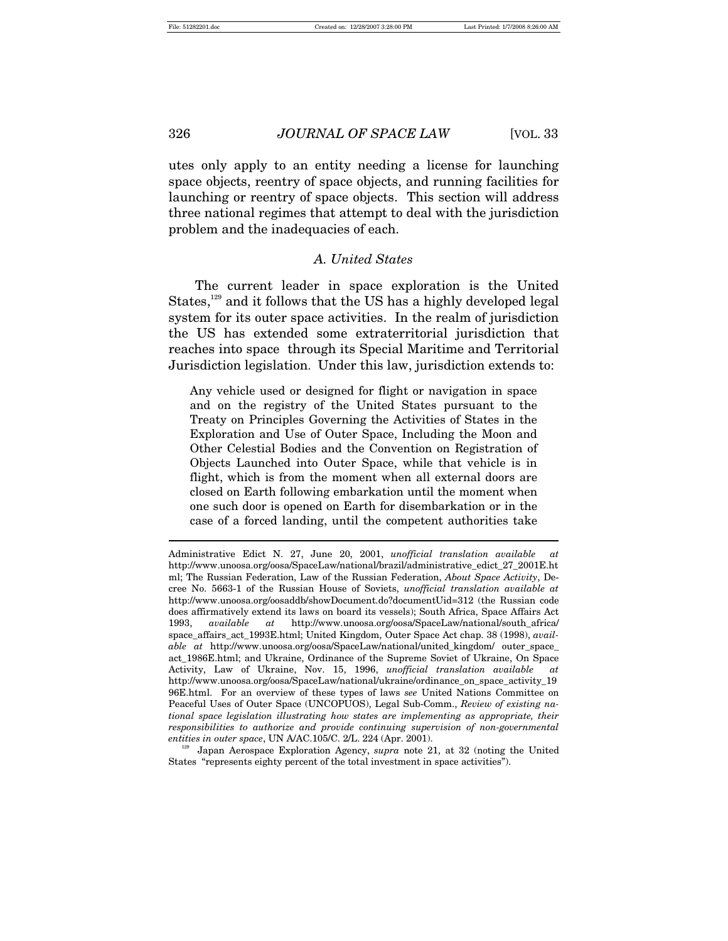utes only apply to an entity needing a license for launching space objects, reentry of space objects, and running facilities for launching or reentry of space objects. This section will address three national regimes that attempt to deal with the jurisdiction problem and the inadequacies of each.

#### *A. United States*

The current leader in space exploration is the United States,<sup>129</sup> and it follows that the US has a highly developed legal system for its outer space activities. In the realm of jurisdiction the US has extended some extraterritorial jurisdiction that reaches into space through its Special Maritime and Territorial Jurisdiction legislation. Under this law, jurisdiction extends to:

Any vehicle used or designed for flight or navigation in space and on the registry of the United States pursuant to the Treaty on Principles Governing the Activities of States in the Exploration and Use of Outer Space, Including the Moon and Other Celestial Bodies and the Convention on Registration of Objects Launched into Outer Space, while that vehicle is in flight, which is from the moment when all external doors are closed on Earth following embarkation until the moment when one such door is opened on Earth for disembarkation or in the case of a forced landing, until the competent authorities take

States "represents eighty percent of the total investment in space activities").

Administrative Edict N. 27, June 20, 2001, *unofficial translation available at* http://www.unoosa.org/oosa/SpaceLaw/national/brazil/administrative\_edict\_27\_2001E.ht ml; The Russian Federation, Law of the Russian Federation, *About Space Activity*, Decree No. 5663-1 of the Russian House of Soviets, *unofficial translation available at* http://www.unoosa.org/oosaddb/showDocument.do?documentUid=312 (the Russian code does affirmatively extend its laws on board its vessels); South Africa, Space Affairs Act 1993, *available at* http://www.unoosa.org/oosa/SpaceLaw/national/south\_africa/ space\_affairs\_act\_1993E.html; United Kingdom, Outer Space Act chap. 38 (1998), *available at* http://www.unoosa.org/oosa/SpaceLaw/national/united\_kingdom/ outer\_space\_ act\_1986E.html; and Ukraine, Ordinance of the Supreme Soviet of Ukraine, On Space Activity, Law of Ukraine, Nov. 15, 1996, *unofficial translation available at* http://www.unoosa.org/oosa/SpaceLaw/national/ukraine/ordinance\_on\_space\_activity\_19 96E.html. For an overview of these types of laws *see* United Nations Committee on Peaceful Uses of Outer Space (UNCOPUOS), Legal Sub-Comm., *Review of existing national space legislation illustrating how states are implementing as appropriate, their responsibilities to authorize and provide continuing supervision of non-governmental entities in outer space*, UN A/AC.105/C. 2/L. 224 (Apr. 2001). 129 Japan Aerospace Exploration Agency, *supra* note 21, at 32 (noting the United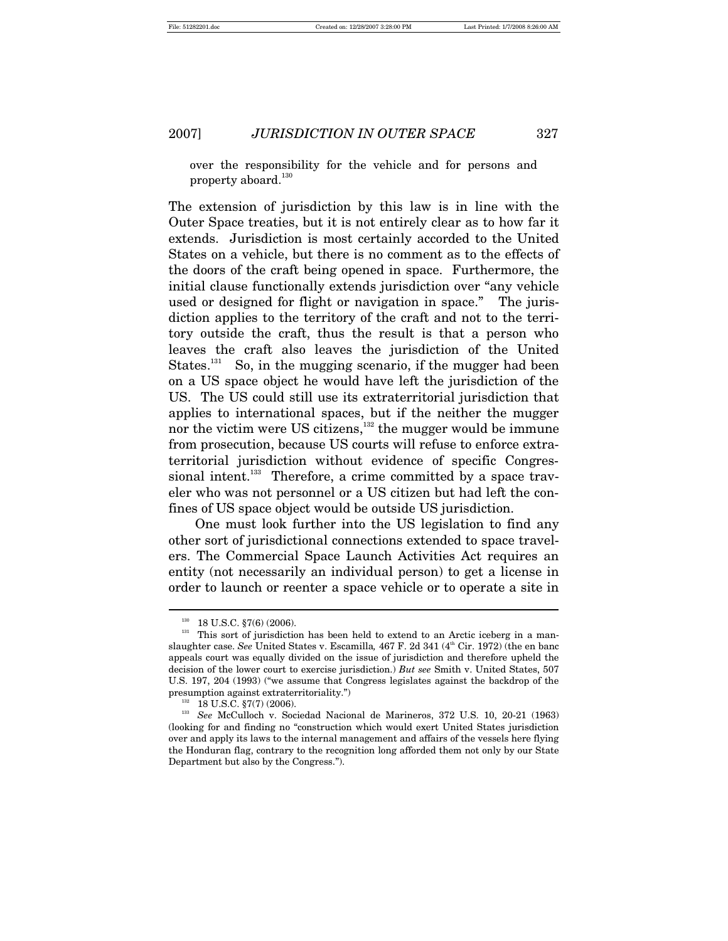over the responsibility for the vehicle and for persons and property aboard. $130$ 

The extension of jurisdiction by this law is in line with the Outer Space treaties, but it is not entirely clear as to how far it extends. Jurisdiction is most certainly accorded to the United States on a vehicle, but there is no comment as to the effects of the doors of the craft being opened in space. Furthermore, the initial clause functionally extends jurisdiction over "any vehicle used or designed for flight or navigation in space." The jurisdiction applies to the territory of the craft and not to the territory outside the craft, thus the result is that a person who leaves the craft also leaves the jurisdiction of the United States.<sup>131</sup> So, in the mugging scenario, if the mugger had been on a US space object he would have left the jurisdiction of the US. The US could still use its extraterritorial jurisdiction that applies to international spaces, but if the neither the mugger nor the victim were US citizens,<sup>132</sup> the mugger would be immune from prosecution, because US courts will refuse to enforce extraterritorial jurisdiction without evidence of specific Congressional intent.<sup>133</sup> Therefore, a crime committed by a space traveler who was not personnel or a US citizen but had left the confines of US space object would be outside US jurisdiction.

One must look further into the US legislation to find any other sort of jurisdictional connections extended to space travelers. The Commercial Space Launch Activities Act requires an entity (not necessarily an individual person) to get a license in order to launch or reenter a space vehicle or to operate a site in

<sup>&</sup>lt;sup>130</sup> 18 U.S.C. §7(6) (2006). <sup>131</sup> This sort of jurisdiction has been held to extend to an Arctic iceberg in a manslaughter case. See United States v. Escamilla, 467 F. 2d 341 (4<sup>th</sup> Cir. 1972) (the en banc appeals court was equally divided on the issue of jurisdiction and therefore upheld the decision of the lower court to exercise jurisdiction.) *But see* Smith v. United States, 507 U.S. 197, 204 (1993) ("we assume that Congress legislates against the backdrop of the

presumption against extraterritoriality.") 132 18 U.S.C. §7(7) (2006). 133 *See* McCulloch v. Sociedad Nacional de Marineros, 372 U.S. 10, 20-21 (1963) (looking for and finding no "construction which would exert United States jurisdiction over and apply its laws to the internal management and affairs of the vessels here flying the Honduran flag, contrary to the recognition long afforded them not only by our State Department but also by the Congress.").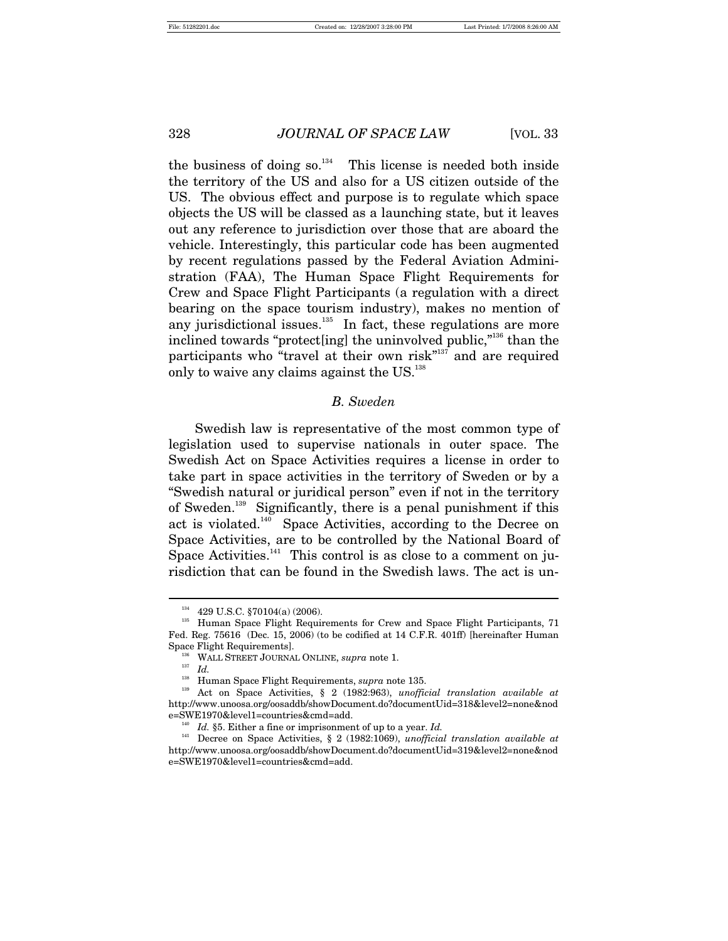the business of doing  $so^{134}$ . This license is needed both inside the territory of the US and also for a US citizen outside of the US. The obvious effect and purpose is to regulate which space objects the US will be classed as a launching state, but it leaves out any reference to jurisdiction over those that are aboard the vehicle. Interestingly, this particular code has been augmented by recent regulations passed by the Federal Aviation Administration (FAA), The Human Space Flight Requirements for Crew and Space Flight Participants (a regulation with a direct bearing on the space tourism industry), makes no mention of any jurisdictional issues.<sup>135</sup> In fact, these regulations are more inclined towards "protect inglet the uninvolved public,"<sup>136</sup> than the participants who "travel at their own risk"<sup>137</sup> and are required only to waive any claims against the US.<sup>138</sup>

## *B. Sweden*

Swedish law is representative of the most common type of legislation used to supervise nationals in outer space. The Swedish Act on Space Activities requires a license in order to take part in space activities in the territory of Sweden or by a "Swedish natural or juridical person" even if not in the territory of Sweden.139 Significantly, there is a penal punishment if this act is violated.140 Space Activities, according to the Decree on Space Activities, are to be controlled by the National Board of Space Activities. $141$  This control is as close to a comment on jurisdiction that can be found in the Swedish laws. The act is un-

<sup>&</sup>lt;sup>134</sup> 429 U.S.C. §70104(a) (2006). <sup>135</sup> Human Space Flight Participants, 71<sup>35</sup> Human Space Flight Requirements for Crew and Space Flight Participants, 71 Fed. Reg. 75616 (Dec. 15, 2006) (to be codified at 14 C.F.R. 401ff) [hereinafter Human Space Flight Requirements].<br><sup>136</sup> WALL STREET JOURNAL ONLINE, *supra* note 1.<br><sup>137</sup> Id.

<sup>&</sup>lt;sup>138</sup> Human Space Flight Requirements, *supra* note 135.<br><sup>139</sup> Act on Space Activities, § 2 (1982:963), *unofficial translation available at* http://www.unoosa.org/oosaddb/showDocument.do?documentUid=318&level2=none&nod e=SWE1970&level1=countries&cmd=add. 140 *Id.* §5. Either a fine or imprisonment of up to a year. *Id.*

<sup>141</sup> Decree on Space Activities, § 2 (1982:1069), *unofficial translation available at* http://www.unoosa.org/oosaddb/showDocument.do?documentUid=319&level2=none&nod e=SWE1970&level1=countries&cmd=add.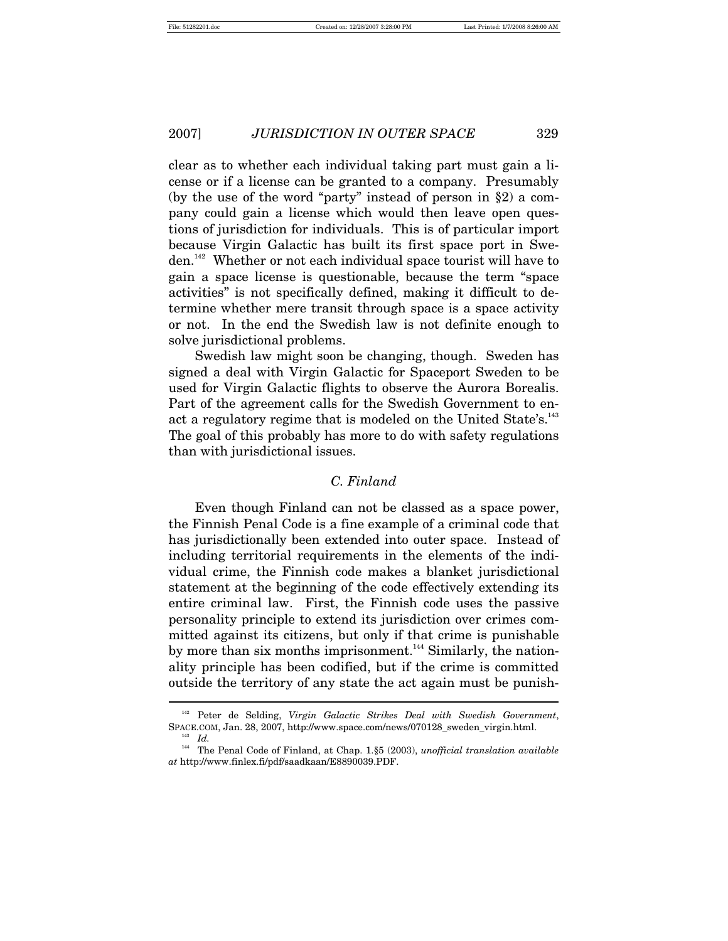$\overline{a}$ 

2007] *JURISDICTION IN OUTER SPACE* 329

clear as to whether each individual taking part must gain a license or if a license can be granted to a company. Presumably (by the use of the word "party" instead of person in §2) a company could gain a license which would then leave open questions of jurisdiction for individuals. This is of particular import because Virgin Galactic has built its first space port in Sweden.142 Whether or not each individual space tourist will have to gain a space license is questionable, because the term "space activities" is not specifically defined, making it difficult to determine whether mere transit through space is a space activity or not. In the end the Swedish law is not definite enough to solve jurisdictional problems.

Swedish law might soon be changing, though. Sweden has signed a deal with Virgin Galactic for Spaceport Sweden to be used for Virgin Galactic flights to observe the Aurora Borealis. Part of the agreement calls for the Swedish Government to enact a regulatory regime that is modeled on the United State's.<sup>143</sup> The goal of this probably has more to do with safety regulations than with jurisdictional issues.

## *C. Finland*

Even though Finland can not be classed as a space power, the Finnish Penal Code is a fine example of a criminal code that has jurisdictionally been extended into outer space. Instead of including territorial requirements in the elements of the individual crime, the Finnish code makes a blanket jurisdictional statement at the beginning of the code effectively extending its entire criminal law. First, the Finnish code uses the passive personality principle to extend its jurisdiction over crimes committed against its citizens, but only if that crime is punishable by more than six months imprisonment.<sup>144</sup> Similarly, the nationality principle has been codified, but if the crime is committed outside the territory of any state the act again must be punish-

<sup>142</sup> Peter de Selding, *Virgin Galactic Strikes Deal with Swedish Government*, SPACE.COM, Jan. 28, 2007, http://www.space.com/news/070128\_sweden\_virgin.html. 143 *Id.* 144 The Penal Code of Finland, at Chap. 1.§5 (2003), *unofficial translation available* 

*at* http://www.finlex.fi/pdf/saadkaan/E8890039.PDF.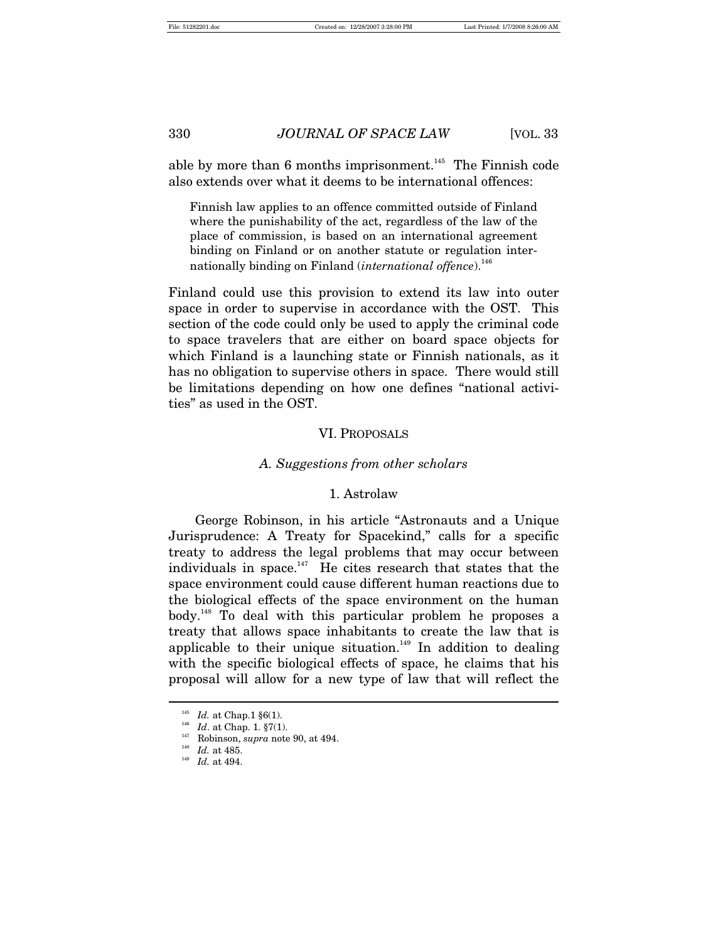able by more than 6 months imprisonment.<sup>145</sup> The Finnish code also extends over what it deems to be international offences:

Finnish law applies to an offence committed outside of Finland where the punishability of the act, regardless of the law of the place of commission, is based on an international agreement binding on Finland or on another statute or regulation internationally binding on Finland *(international offence*).<sup>146</sup>

Finland could use this provision to extend its law into outer space in order to supervise in accordance with the OST. This section of the code could only be used to apply the criminal code to space travelers that are either on board space objects for which Finland is a launching state or Finnish nationals, as it has no obligation to supervise others in space. There would still be limitations depending on how one defines "national activities" as used in the OST.

#### VI. PROPOSALS

#### *A. Suggestions from other scholars*

#### 1. Astrolaw

George Robinson, in his article "Astronauts and a Unique Jurisprudence: A Treaty for Spacekind," calls for a specific treaty to address the legal problems that may occur between individuals in space. $147$  He cites research that states that the space environment could cause different human reactions due to the biological effects of the space environment on the human body.<sup>148</sup> To deal with this particular problem he proposes a treaty that allows space inhabitants to create the law that is applicable to their unique situation.<sup>149</sup> In addition to dealing with the specific biological effects of space, he claims that his proposal will allow for a new type of law that will reflect the

<sup>&</sup>lt;sup>145</sup> *Id.* at Chap. 1 §6(1).<br><sup>146</sup> *Id.* at Chap. 1. §7(1).<br><sup>147</sup> Robinson, *supra* note 90, at 494.<br><sup>149</sup> *Id.* at 494.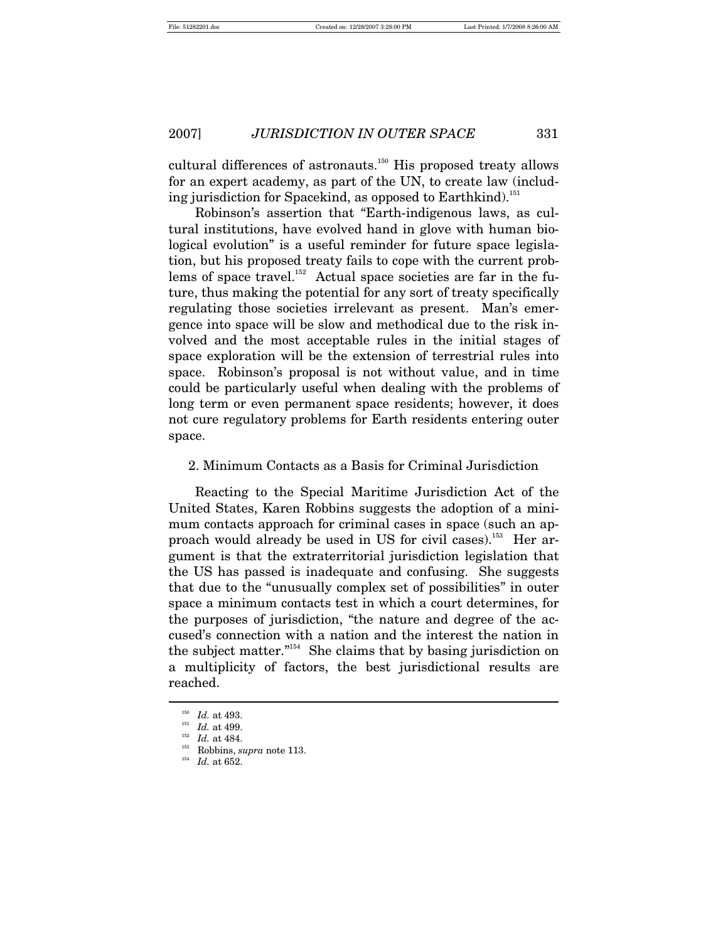cultural differences of astronauts.<sup>150</sup> His proposed treaty allows for an expert academy, as part of the UN, to create law (including jurisdiction for Spacekind, as opposed to Earthkind).<sup>151</sup>

Robinson's assertion that "Earth-indigenous laws, as cultural institutions, have evolved hand in glove with human biological evolution" is a useful reminder for future space legislation, but his proposed treaty fails to cope with the current problems of space travel.<sup>152</sup> Actual space societies are far in the future, thus making the potential for any sort of treaty specifically regulating those societies irrelevant as present. Man's emergence into space will be slow and methodical due to the risk involved and the most acceptable rules in the initial stages of space exploration will be the extension of terrestrial rules into space. Robinson's proposal is not without value, and in time could be particularly useful when dealing with the problems of long term or even permanent space residents; however, it does not cure regulatory problems for Earth residents entering outer space.

2. Minimum Contacts as a Basis for Criminal Jurisdiction

Reacting to the Special Maritime Jurisdiction Act of the United States, Karen Robbins suggests the adoption of a minimum contacts approach for criminal cases in space (such an approach would already be used in US for civil cases).<sup>153</sup> Her argument is that the extraterritorial jurisdiction legislation that the US has passed is inadequate and confusing. She suggests that due to the "unusually complex set of possibilities" in outer space a minimum contacts test in which a court determines, for the purposes of jurisdiction, "the nature and degree of the accused's connection with a nation and the interest the nation in the subject matter."154 She claims that by basing jurisdiction on a multiplicity of factors, the best jurisdictional results are reached.  $\overline{a}$ 

<sup>150</sup> *Id.* at 493.<br>
<sup>151</sup> *Id.* at 499.<br>
<sup>152</sup> *Id.* at 484.<br>
<sup>153</sup> *Robbins, supra* note 113.<br>
<sup>154</sup> *Id.* at 652.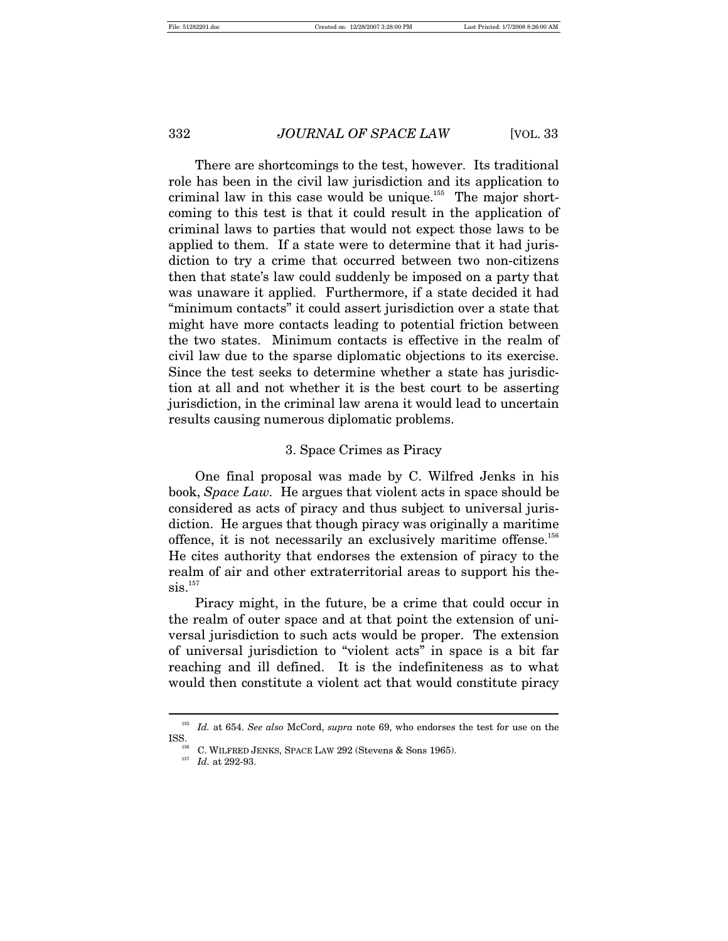There are shortcomings to the test, however. Its traditional role has been in the civil law jurisdiction and its application to criminal law in this case would be unique.<sup>155</sup> The major shortcoming to this test is that it could result in the application of criminal laws to parties that would not expect those laws to be applied to them. If a state were to determine that it had jurisdiction to try a crime that occurred between two non-citizens then that state's law could suddenly be imposed on a party that was unaware it applied. Furthermore, if a state decided it had "minimum contacts" it could assert jurisdiction over a state that might have more contacts leading to potential friction between the two states. Minimum contacts is effective in the realm of civil law due to the sparse diplomatic objections to its exercise. Since the test seeks to determine whether a state has jurisdiction at all and not whether it is the best court to be asserting jurisdiction, in the criminal law arena it would lead to uncertain results causing numerous diplomatic problems.

# 3. Space Crimes as Piracy

One final proposal was made by C. Wilfred Jenks in his book, *Space Law.* He argues that violent acts in space should be considered as acts of piracy and thus subject to universal jurisdiction. He argues that though piracy was originally a maritime offence, it is not necessarily an exclusively maritime offense.<sup>156</sup> He cites authority that endorses the extension of piracy to the realm of air and other extraterritorial areas to support his the- $\mathrm{sis.}^{157}$ 

Piracy might, in the future, be a crime that could occur in the realm of outer space and at that point the extension of universal jurisdiction to such acts would be proper. The extension of universal jurisdiction to "violent acts" in space is a bit far reaching and ill defined. It is the indefiniteness as to what would then constitute a violent act that would constitute piracy

<sup>&</sup>lt;sup>155</sup> Id. at 654. *See also* McCord, *supra* note 69, who endorses the test for use on the ISS.<br><sup>156</sup> C WH ERED JENES SPACE LAW 202 (Storens & Sons 1965)

<sup>&</sup>lt;sup>156</sup> C. WILFRED JENKS, SPACE LAW 292 (Stevens & Sons 1965).<br><sup>157</sup> *Id.* at 292-93.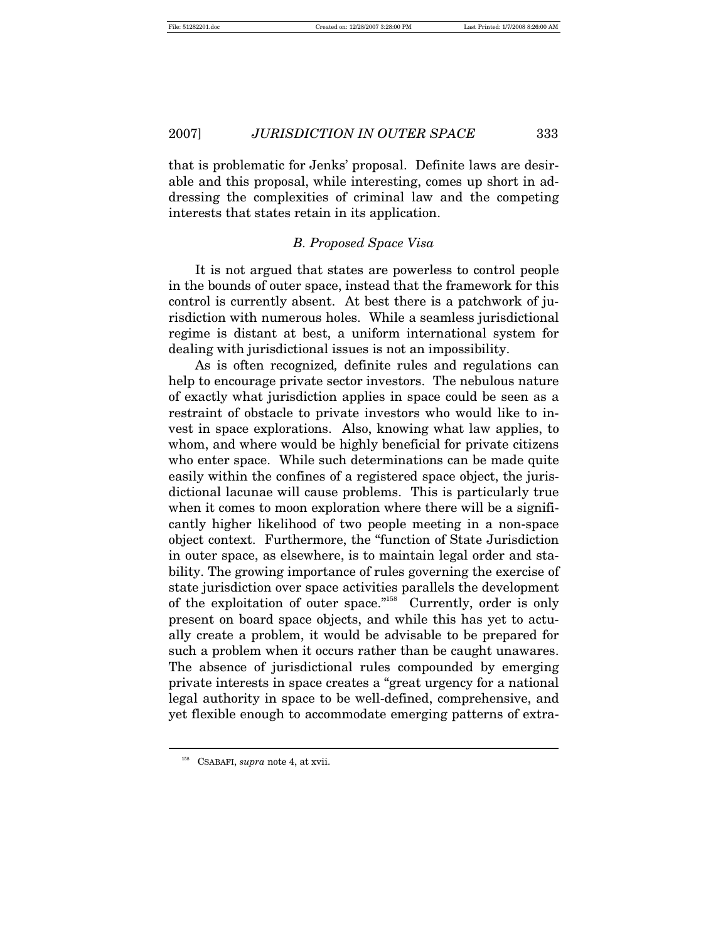that is problematic for Jenks' proposal. Definite laws are desirable and this proposal, while interesting, comes up short in addressing the complexities of criminal law and the competing interests that states retain in its application.

# *B. Proposed Space Visa*

It is not argued that states are powerless to control people in the bounds of outer space, instead that the framework for this control is currently absent. At best there is a patchwork of jurisdiction with numerous holes. While a seamless jurisdictional regime is distant at best, a uniform international system for dealing with jurisdictional issues is not an impossibility.

As is often recognized*,* definite rules and regulations can help to encourage private sector investors. The nebulous nature of exactly what jurisdiction applies in space could be seen as a restraint of obstacle to private investors who would like to invest in space explorations. Also, knowing what law applies, to whom, and where would be highly beneficial for private citizens who enter space. While such determinations can be made quite easily within the confines of a registered space object, the jurisdictional lacunae will cause problems. This is particularly true when it comes to moon exploration where there will be a significantly higher likelihood of two people meeting in a non-space object context. Furthermore, the "function of State Jurisdiction in outer space, as elsewhere, is to maintain legal order and stability. The growing importance of rules governing the exercise of state jurisdiction over space activities parallels the development of the exploitation of outer space."158 Currently, order is only present on board space objects, and while this has yet to actually create a problem, it would be advisable to be prepared for such a problem when it occurs rather than be caught unawares. The absence of jurisdictional rules compounded by emerging private interests in space creates a "great urgency for a national legal authority in space to be well-defined, comprehensive, and yet flexible enough to accommodate emerging patterns of extra-

<sup>158</sup> CSABAFI, *supra* note 4, at xvii.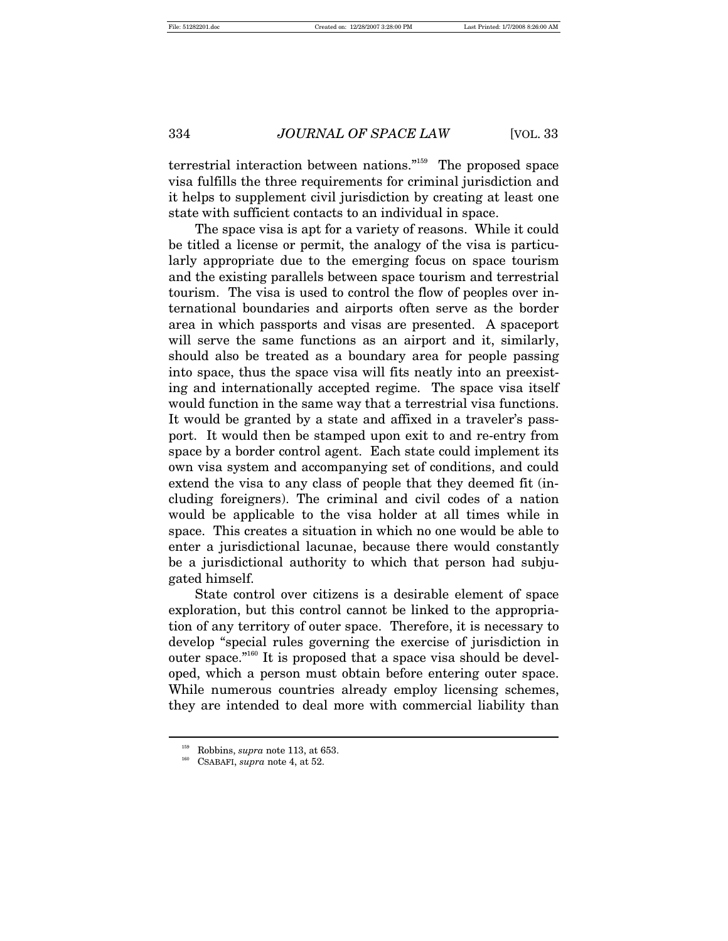terrestrial interaction between nations."159 The proposed space visa fulfills the three requirements for criminal jurisdiction and it helps to supplement civil jurisdiction by creating at least one state with sufficient contacts to an individual in space.

The space visa is apt for a variety of reasons. While it could be titled a license or permit, the analogy of the visa is particularly appropriate due to the emerging focus on space tourism and the existing parallels between space tourism and terrestrial tourism. The visa is used to control the flow of peoples over international boundaries and airports often serve as the border area in which passports and visas are presented. A spaceport will serve the same functions as an airport and it, similarly, should also be treated as a boundary area for people passing into space, thus the space visa will fits neatly into an preexisting and internationally accepted regime. The space visa itself would function in the same way that a terrestrial visa functions. It would be granted by a state and affixed in a traveler's passport. It would then be stamped upon exit to and re-entry from space by a border control agent. Each state could implement its own visa system and accompanying set of conditions, and could extend the visa to any class of people that they deemed fit (including foreigners). The criminal and civil codes of a nation would be applicable to the visa holder at all times while in space. This creates a situation in which no one would be able to enter a jurisdictional lacunae, because there would constantly be a jurisdictional authority to which that person had subjugated himself.

State control over citizens is a desirable element of space exploration, but this control cannot be linked to the appropriation of any territory of outer space. Therefore, it is necessary to develop "special rules governing the exercise of jurisdiction in outer space."160 It is proposed that a space visa should be developed, which a person must obtain before entering outer space. While numerous countries already employ licensing schemes, they are intended to deal more with commercial liability than

Robbins, *supra* note 113, at 653.<br>CSABAFI, *supra* note 4, at 52.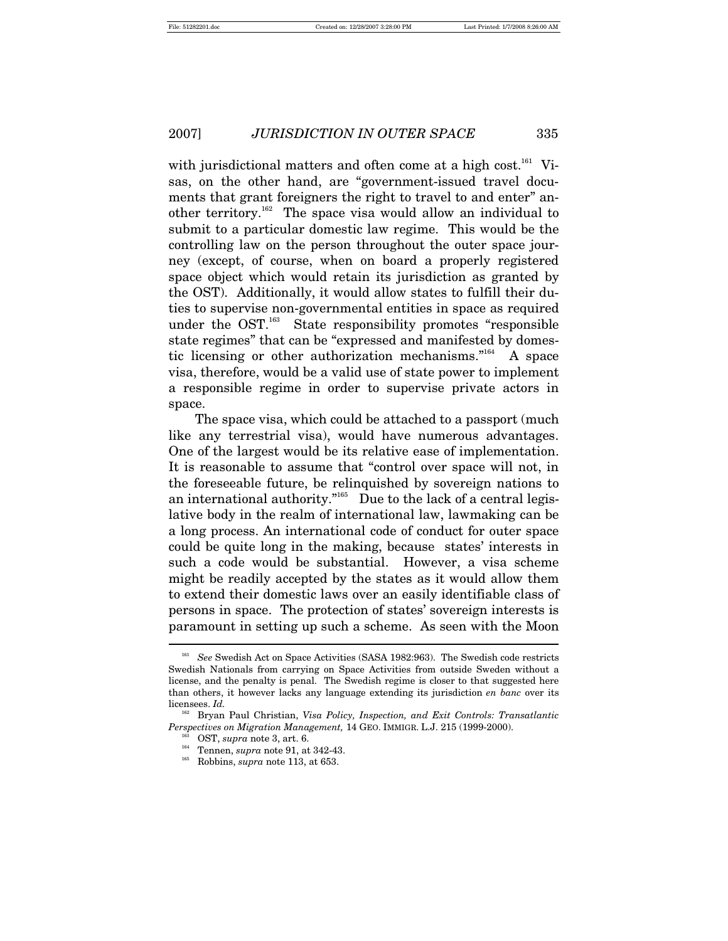with jurisdictional matters and often come at a high cost.<sup>161</sup> Visas, on the other hand, are "government-issued travel documents that grant foreigners the right to travel to and enter" another territory.162 The space visa would allow an individual to submit to a particular domestic law regime. This would be the controlling law on the person throughout the outer space journey (except, of course, when on board a properly registered space object which would retain its jurisdiction as granted by the OST). Additionally, it would allow states to fulfill their duties to supervise non-governmental entities in space as required under the OST.<sup>163</sup> State responsibility promotes "responsible state regimes" that can be "expressed and manifested by domestic licensing or other authorization mechanisms."164 A space visa, therefore, would be a valid use of state power to implement a responsible regime in order to supervise private actors in space.

The space visa, which could be attached to a passport (much like any terrestrial visa), would have numerous advantages. One of the largest would be its relative ease of implementation. It is reasonable to assume that "control over space will not, in the foreseeable future, be relinquished by sovereign nations to an international authority. $n_{165}$  Due to the lack of a central legislative body in the realm of international law, lawmaking can be a long process. An international code of conduct for outer space could be quite long in the making, because states' interests in such a code would be substantial. However, a visa scheme might be readily accepted by the states as it would allow them to extend their domestic laws over an easily identifiable class of persons in space. The protection of states' sovereign interests is paramount in setting up such a scheme. As seen with the Moon

<sup>&</sup>lt;sup>161</sup> See Swedish Act on Space Activities (SASA 1982:963). The Swedish code restricts Swedish Nationals from carrying on Space Activities from outside Sweden without a license, and the penalty is penal. The Swedish regime is closer to that suggested here than others, it however lacks any language extending its jurisdiction *en banc* over its licensees. *Id.*

<sup>162</sup> Bryan Paul Christian, *Visa Policy, Inspection, and Exit Controls: Transatlantic Perspectives on Migration Management,* 14 GEO. IMMIGR. L.J. 215 (1999-2000).<br><sup>163</sup> OST, *supra* note 3, art. 6.<br><sup>164</sup> Tennen, *supra* note 91, at 342-43.<br><sup>165</sup> Robbins, *supra* note 113, at 653.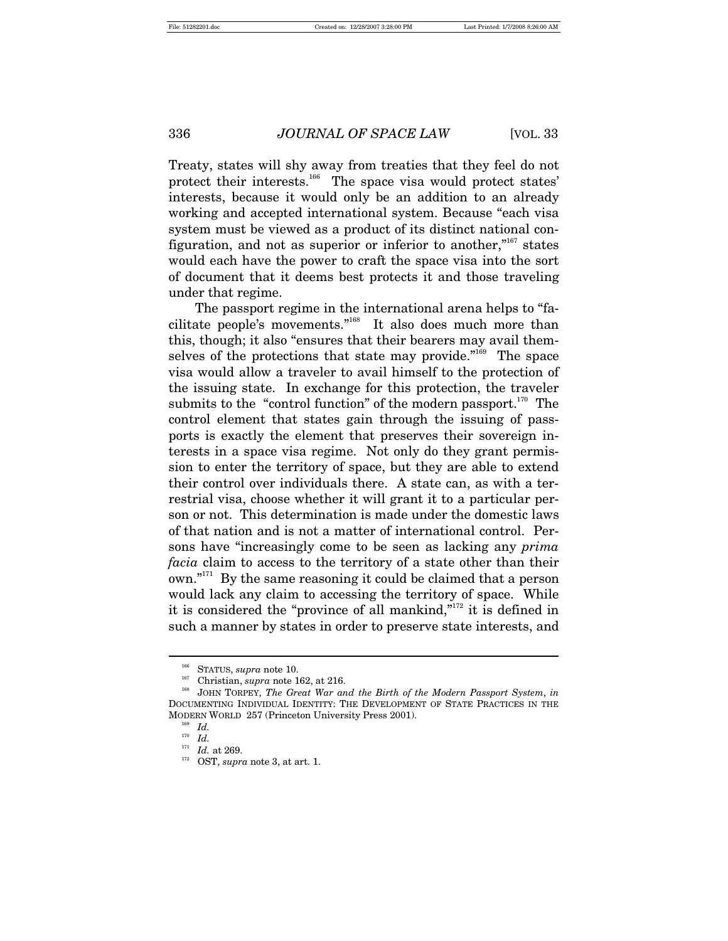Treaty, states will shy away from treaties that they feel do not protect their interests.<sup>166</sup> The space visa would protect states' interests, because it would only be an addition to an already working and accepted international system. Because "each visa system must be viewed as a product of its distinct national configuration, and not as superior or inferior to another, $n_{\text{167}}$  states would each have the power to craft the space visa into the sort of document that it deems best protects it and those traveling under that regime.

The passport regime in the international arena helps to "facilitate people's movements."168 It also does much more than this, though; it also "ensures that their bearers may avail themselves of the protections that state may provide."<sup>169</sup> The space visa would allow a traveler to avail himself to the protection of the issuing state. In exchange for this protection, the traveler submits to the "control function" of the modern passport.<sup>170</sup> The control element that states gain through the issuing of passports is exactly the element that preserves their sovereign interests in a space visa regime. Not only do they grant permission to enter the territory of space, but they are able to extend their control over individuals there. A state can, as with a terrestrial visa, choose whether it will grant it to a particular person or not. This determination is made under the domestic laws of that nation and is not a matter of international control. Persons have "increasingly come to be seen as lacking any *prima facia* claim to access to the territory of a state other than their own."171 By the same reasoning it could be claimed that a person would lack any claim to accessing the territory of space. While it is considered the "province of all mankind," $172$  it is defined in such a manner by states in order to preserve state interests, and

<sup>&</sup>lt;sup>166</sup> STATUS, *supra* note 10.<br><sup>167</sup> Christian, *supra* note 162, at 216.<br><sup>168</sup> JOHN TORPEY, *The Great War and the Birth of the Modern Passport System, in* DOCUMENTING INDIVIDUAL IDENTITY: THE DEVELOPMENT OF STATE PRACTICES IN THE MODERN WORLD 257 (Princeton University Press 2001).<br><sup>169</sup> *Id.*<br><sup>170</sup> *IJ* 

<sup>&</sup>lt;sup>170</sup> *Id.* at 269.

<sup>0</sup>ST, *supra* note 3, at art. 1.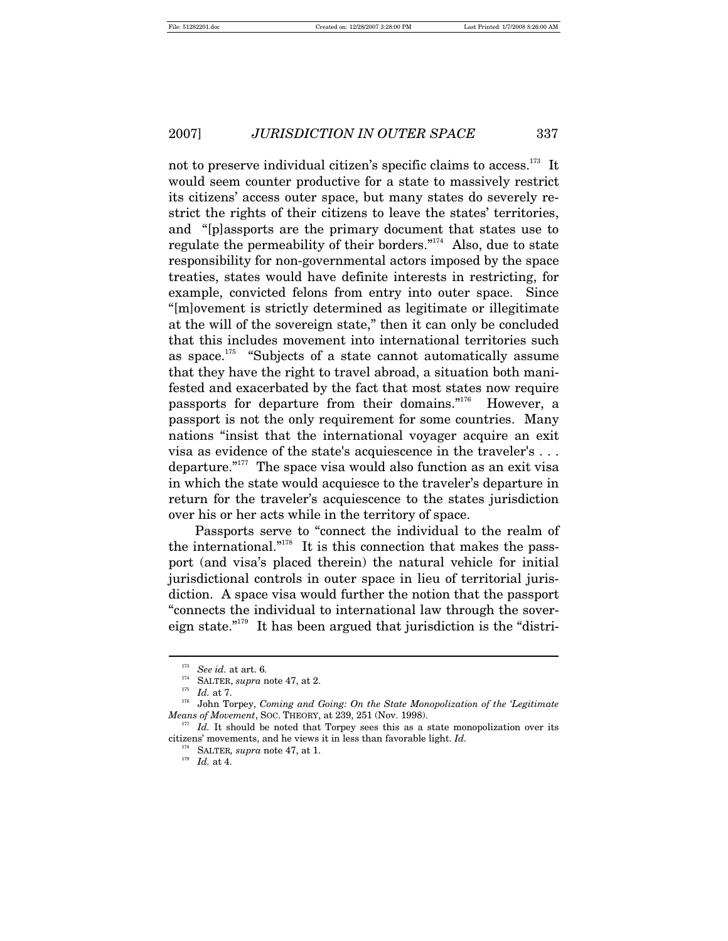not to preserve individual citizen's specific claims to access.<sup>173</sup> It would seem counter productive for a state to massively restrict its citizens' access outer space, but many states do severely restrict the rights of their citizens to leave the states' territories, and "[p]assports are the primary document that states use to regulate the permeability of their borders."<sup>174</sup> Also, due to state responsibility for non-governmental actors imposed by the space treaties, states would have definite interests in restricting, for example, convicted felons from entry into outer space. Since "[m]ovement is strictly determined as legitimate or illegitimate at the will of the sovereign state," then it can only be concluded that this includes movement into international territories such as space.175 "Subjects of a state cannot automatically assume that they have the right to travel abroad, a situation both manifested and exacerbated by the fact that most states now require passports for departure from their domains."176 However, a passport is not the only requirement for some countries. Many nations "insist that the international voyager acquire an exit visa as evidence of the state's acquiescence in the traveler's . . . departure."177 The space visa would also function as an exit visa in which the state would acquiesce to the traveler's departure in return for the traveler's acquiescence to the states jurisdiction over his or her acts while in the territory of space.

Passports serve to "connect the individual to the realm of the international. $n_{178}$  It is this connection that makes the passport (and visa's placed therein) the natural vehicle for initial jurisdictional controls in outer space in lieu of territorial jurisdiction. A space visa would further the notion that the passport "connects the individual to international law through the sovereign state."179 It has been argued that jurisdiction is the "distri-

<sup>&</sup>lt;sup>173</sup> See id. at art. 6.<br><sup>174</sup> SALTER, *supra* note 47, at 2.

<sup>&</sup>lt;sup>175</sup> Id. at 7. *Id.* at 7. *superally in State Monopolization of the 'Legitimate* John Torpey, *Coming and Going: On the State Monopolization of the 'Legitimate Means of Movement*, Soc. THEORY, at 239, 251 (Nov. 1998).<br><sup>177</sup> *Id.* It should be noted that Torpey sees this as a state monopolization over its

citizens' movements, and he views it in less than favorable light. *Id.*

<sup>178</sup> SALTER*, supra* note 47, at 1. 179 *Id.* at 4.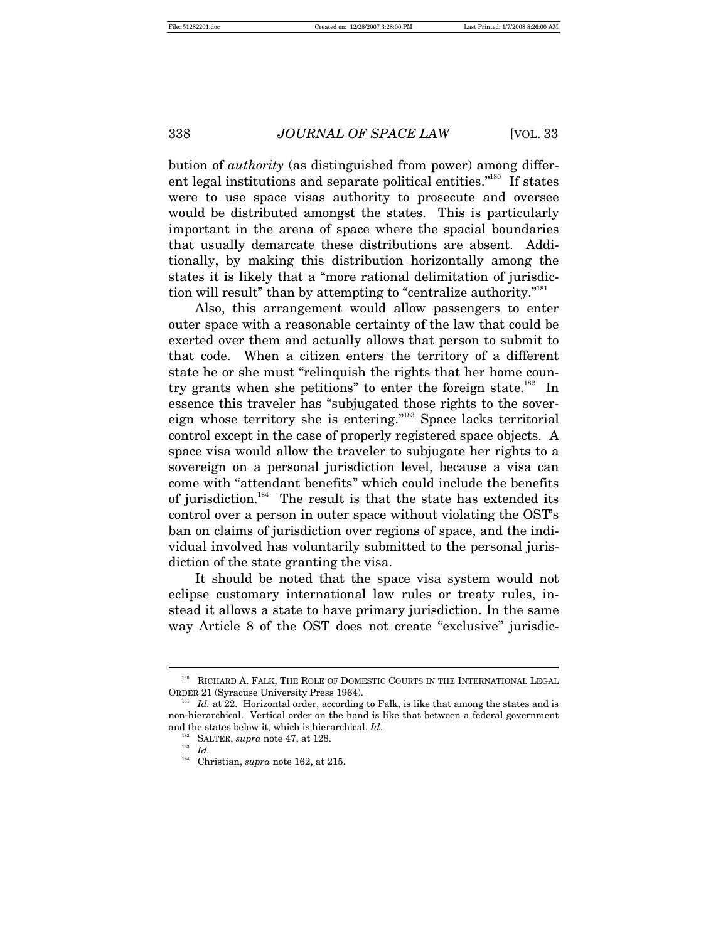bution of *authority* (as distinguished from power) among different legal institutions and separate political entities."180 If states were to use space visas authority to prosecute and oversee would be distributed amongst the states. This is particularly important in the arena of space where the spacial boundaries that usually demarcate these distributions are absent. Additionally, by making this distribution horizontally among the states it is likely that a "more rational delimitation of jurisdiction will result" than by attempting to "centralize authority."<sup>181</sup>

Also, this arrangement would allow passengers to enter outer space with a reasonable certainty of the law that could be exerted over them and actually allows that person to submit to that code. When a citizen enters the territory of a different state he or she must "relinquish the rights that her home country grants when she petitions" to enter the foreign state.<sup>182</sup> In essence this traveler has "subjugated those rights to the sovereign whose territory she is entering."183 Space lacks territorial control except in the case of properly registered space objects. A space visa would allow the traveler to subjugate her rights to a sovereign on a personal jurisdiction level, because a visa can come with "attendant benefits" which could include the benefits of jurisdiction.<sup>184</sup> The result is that the state has extended its control over a person in outer space without violating the OST's ban on claims of jurisdiction over regions of space, and the individual involved has voluntarily submitted to the personal jurisdiction of the state granting the visa.

It should be noted that the space visa system would not eclipse customary international law rules or treaty rules, instead it allows a state to have primary jurisdiction. In the same way Article 8 of the OST does not create "exclusive" jurisdic-

<sup>180</sup> RICHARD A. FALK, THE ROLE OF DOMESTIC COURTS IN THE INTERNATIONAL LEGAL ORDER 21 (Syracuse University Press 1964). 181 *Id.* at 22. Horizontal order, according to Falk, is like that among the states and is

non-hierarchical. Vertical order on the hand is like that between a federal government and the states below it, which is hierarchical. *Id*.<br><sup>182</sup> SALTER, *supra* note 47, at 128.<br>*Id.*<br><sup>184</sup> Christian supports 192, at 215

<sup>184</sup> Christian, *supra* note 162, at 215.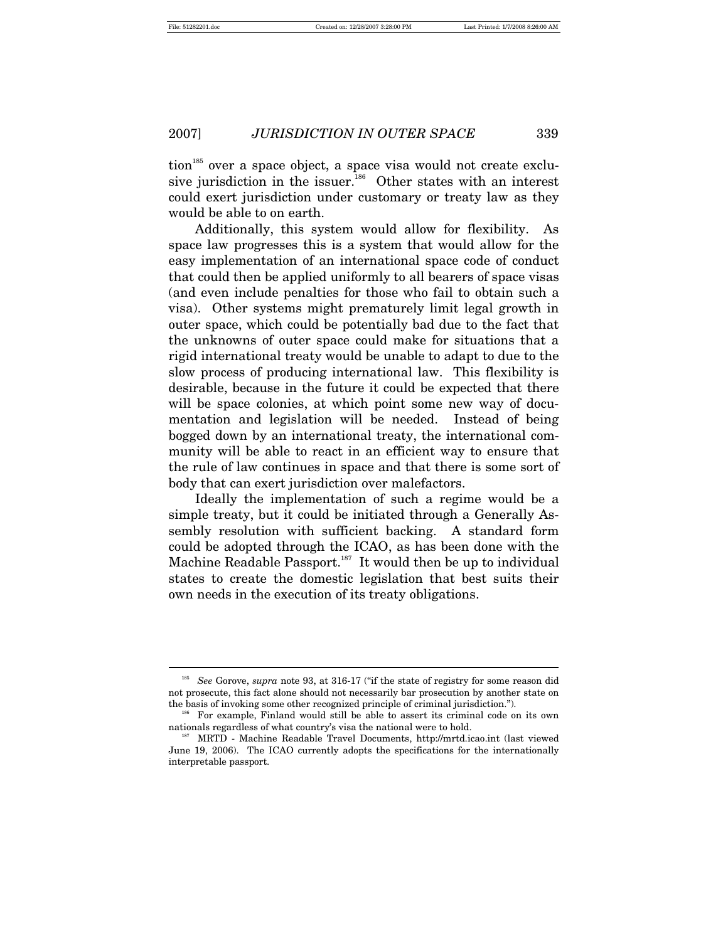$\overline{a}$ 

2007] *JURISDICTION IN OUTER SPACE* 339

 $\chi$  tion<sup>185</sup> over a space object, a space visa would not create exclusive jurisdiction in the issuer.<sup>186</sup> Other states with an interest could exert jurisdiction under customary or treaty law as they would be able to on earth.

Additionally, this system would allow for flexibility. As space law progresses this is a system that would allow for the easy implementation of an international space code of conduct that could then be applied uniformly to all bearers of space visas (and even include penalties for those who fail to obtain such a visa). Other systems might prematurely limit legal growth in outer space, which could be potentially bad due to the fact that the unknowns of outer space could make for situations that a rigid international treaty would be unable to adapt to due to the slow process of producing international law. This flexibility is desirable, because in the future it could be expected that there will be space colonies, at which point some new way of documentation and legislation will be needed. Instead of being bogged down by an international treaty, the international community will be able to react in an efficient way to ensure that the rule of law continues in space and that there is some sort of body that can exert jurisdiction over malefactors.

Ideally the implementation of such a regime would be a simple treaty, but it could be initiated through a Generally Assembly resolution with sufficient backing. A standard form could be adopted through the ICAO, as has been done with the Machine Readable Passport.<sup>187</sup> It would then be up to individual states to create the domestic legislation that best suits their own needs in the execution of its treaty obligations.

<sup>185</sup> *See* Gorove, *supra* note 93, at 316-17 ("if the state of registry for some reason did not prosecute, this fact alone should not necessarily bar prosecution by another state on the basis of invoking some other recognized principle of criminal jurisdiction.").<br><sup>186</sup> For example, Finland would still be able to assert its criminal code on its own

nationals regardless of what country's visa the national were to hold. 187 MRTD - Machine Readable Travel Documents, http://mrtd.icao.int (last viewed

June 19, 2006). The ICAO currently adopts the specifications for the internationally interpretable passport.